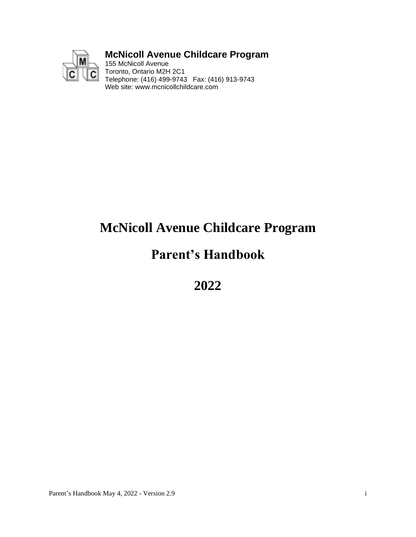

# **McNicoll Avenue Childcare Program**

155 McNicoll Avenue Toronto, Ontario M2H 2C1 Telephone: (416) 499-9743 Fax: (416) 913-9743 Web site: www.mcnicollchildcare.com

# **McNicoll Avenue Childcare Program**

# **Parent's Handbook**

**2022**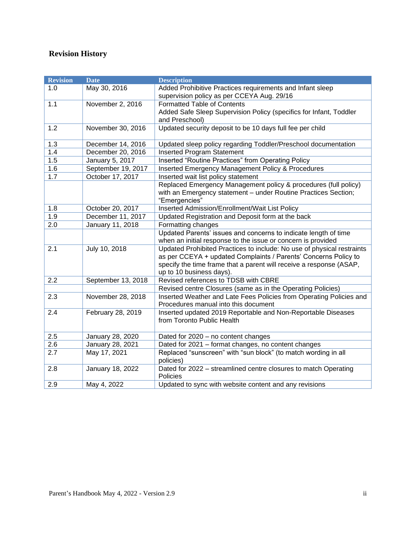# **Revision History**

| <b>Revision</b> | <b>Date</b>        | <b>Description</b>                                                     |
|-----------------|--------------------|------------------------------------------------------------------------|
| 1.0             | May 30, 2016       | Added Prohibitive Practices requirements and Infant sleep              |
|                 |                    | supervision policy as per CCEYA Aug. 29/16                             |
| 1.1             | November 2, 2016   | <b>Formatted Table of Contents</b>                                     |
|                 |                    | Added Safe Sleep Supervision Policy (specifics for Infant, Toddler     |
|                 |                    | and Preschool)                                                         |
| 1.2             | November 30, 2016  | Updated security deposit to be 10 days full fee per child              |
|                 |                    |                                                                        |
| 1.3             | December 14, 2016  | Updated sleep policy regarding Toddler/Preschool documentation         |
| 1.4             | December 20, 2016  | <b>Inserted Program Statement</b>                                      |
| 1.5             | January 5, 2017    | Inserted "Routine Practices" from Operating Policy                     |
| 1.6             | September 19, 2017 | Inserted Emergency Management Policy & Procedures                      |
| 1.7             | October 17, 2017   | Inserted wait list policy statement                                    |
|                 |                    | Replaced Emergency Management policy & procedures (full policy)        |
|                 |                    | with an Emergency statement - under Routine Practices Section;         |
|                 |                    | "Emergencies"                                                          |
| 1.8             | October 20, 2017   | Inserted Admission/Enrollment/Wait List Policy                         |
| 1.9             | December 11, 2017  | Updated Registration and Deposit form at the back                      |
| 2.0             | January 11, 2018   | Formatting changes                                                     |
|                 |                    | Updated Parents' issues and concerns to indicate length of time        |
|                 |                    | when an initial response to the issue or concern is provided           |
| 2.1             | July 10, 2018      | Updated Prohibited Practices to include: No use of physical restraints |
|                 |                    | as per CCEYA + updated Complaints / Parents' Concerns Policy to        |
|                 |                    | specify the time frame that a parent will receive a response (ASAP,    |
|                 |                    | up to 10 business days).                                               |
| 2.2             | September 13, 2018 | Revised references to TDSB with CBRE                                   |
|                 |                    | Revised centre Closures (same as in the Operating Policies)            |
| 2.3             | November 28, 2018  | Inserted Weather and Late Fees Policies from Operating Policies and    |
|                 |                    | Procedures manual into this document                                   |
| 2.4             | February 28, 2019  | Inserted updated 2019 Reportable and Non-Reportable Diseases           |
|                 |                    | from Toronto Public Health                                             |
|                 |                    |                                                                        |
| 2.5             | January 28, 2020   | Dated for 2020 - no content changes                                    |
| 2.6             | January 28, 2021   | Dated for 2021 - format changes, no content changes                    |
| 2.7             | May 17, 2021       | Replaced "sunscreen" with "sun block" (to match wording in all         |
|                 |                    | policies)                                                              |
| 2.8             | January 18, 2022   | Dated for 2022 - streamlined centre closures to match Operating        |
|                 |                    | Policies                                                               |
| 2.9             | May 4, 2022        | Updated to sync with website content and any revisions                 |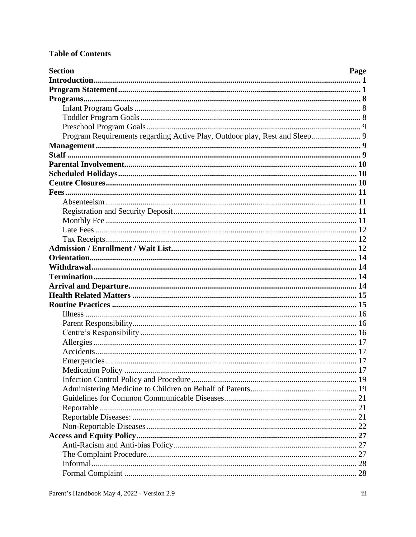# **Table of Contents**

| <b>Section</b>                                                             | Page |
|----------------------------------------------------------------------------|------|
|                                                                            |      |
|                                                                            |      |
|                                                                            |      |
|                                                                            |      |
|                                                                            |      |
|                                                                            |      |
| Program Requirements regarding Active Play, Outdoor play, Rest and Sleep 9 |      |
|                                                                            |      |
|                                                                            |      |
|                                                                            |      |
|                                                                            |      |
|                                                                            |      |
|                                                                            |      |
|                                                                            |      |
|                                                                            |      |
|                                                                            |      |
|                                                                            |      |
|                                                                            |      |
|                                                                            |      |
|                                                                            |      |
|                                                                            |      |
|                                                                            |      |
|                                                                            |      |
|                                                                            |      |
|                                                                            |      |
|                                                                            |      |
|                                                                            |      |
|                                                                            |      |
|                                                                            |      |
|                                                                            |      |
|                                                                            |      |
| Medication Policy                                                          |      |
|                                                                            |      |
|                                                                            |      |
|                                                                            |      |
|                                                                            |      |
|                                                                            |      |
|                                                                            |      |
|                                                                            |      |
|                                                                            |      |
|                                                                            |      |
|                                                                            |      |
|                                                                            |      |
|                                                                            |      |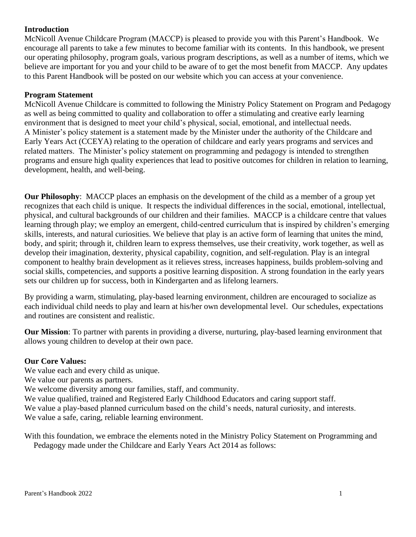# <span id="page-4-0"></span>**Introduction**

McNicoll Avenue Childcare Program (MACCP) is pleased to provide you with this Parent's Handbook. We encourage all parents to take a few minutes to become familiar with its contents. In this handbook, we present our operating philosophy, program goals, various program descriptions, as well as a number of items, which we believe are important for you and your child to be aware of to get the most benefit from MACCP. Any updates to this Parent Handbook will be posted on our website which you can access at your convenience.

#### <span id="page-4-1"></span>**Program Statement**

McNicoll Avenue Childcare is committed to following the Ministry Policy Statement on Program and Pedagogy as well as being committed to quality and collaboration to offer a stimulating and creative early learning environment that is designed to meet your child's physical, social, emotional, and intellectual needs. A Minister's policy statement is a statement made by the Minister under the authority of the Childcare and Early Years Act (CCEYA) relating to the operation of childcare and early years programs and services and related matters. The Minister's policy statement on programming and pedagogy is intended to strengthen programs and ensure high quality experiences that lead to positive outcomes for children in relation to learning, development, health, and well-being.

**Our Philosophy**: MACCP places an emphasis on the development of the child as a member of a group yet recognizes that each child is unique. It respects the individual differences in the social, emotional, intellectual, physical, and cultural backgrounds of our children and their families. MACCP is a childcare centre that values learning through play; we employ an emergent, child-centred curriculum that is inspired by children's emerging skills, interests, and natural curiosities. We believe that play is an active form of learning that unites the mind, body, and spirit; through it, children learn to express themselves, use their creativity, work together, as well as develop their imagination, dexterity, physical capability, cognition, and self-regulation. Play is an integral component to healthy brain development as it relieves stress, increases happiness, builds problem-solving and social skills, competencies, and supports a positive learning disposition. A strong foundation in the early years sets our children up for success, both in Kindergarten and as lifelong learners.

By providing a warm, stimulating, play-based learning environment, children are encouraged to socialize as each individual child needs to play and learn at his/her own developmental level. Our schedules, expectations and routines are consistent and realistic.

**Our Mission**: To partner with parents in providing a diverse, nurturing, play-based learning environment that allows young children to develop at their own pace.

#### **Our Core Values:**

We value each and every child as unique.

We value our parents as partners.

We welcome diversity among our families, staff, and community.

We value qualified, trained and Registered Early Childhood Educators and caring support staff.

We value a play-based planned curriculum based on the child's needs, natural curiosity, and interests.

We value a safe, caring, reliable learning environment.

With this foundation, we embrace the elements noted in the Ministry Policy Statement on Programming and Pedagogy made under the Childcare and Early Years Act 2014 as follows: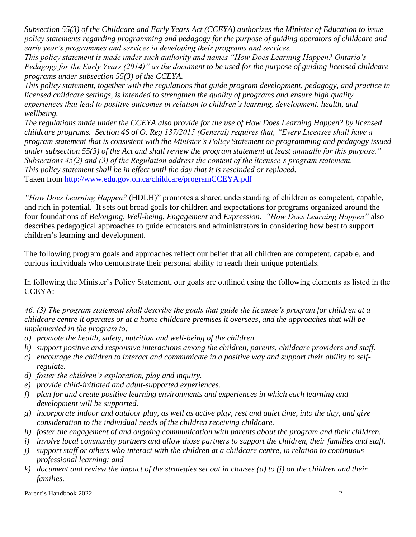*Subsection 55(3) of the Childcare and Early Years Act (CCEYA) authorizes the Minister of Education to issue policy statements regarding programming and pedagogy for the purpose of guiding operators of childcare and early year's programmes and services in developing their programs and services.* 

*This policy statement is made under such authority and names "How Does Learning Happen? Ontario's Pedagogy for the Early Years (2014)" as the document to be used for the purpose of guiding licensed childcare programs under subsection 55(3) of the CCEYA.*

*This policy statement, together with the regulations that guide program development, pedagogy, and practice in licensed childcare settings, is intended to strengthen the quality of programs and ensure high quality experiences that lead to positive outcomes in relation to children's learning, development, health, and wellbeing.*

*The regulations made under the CCEYA also provide for the use of How Does Learning Happen? by licensed childcare programs. Section 46 of O. Reg 137/2015 (General) requires that, "Every Licensee shall have a program statement that is consistent with the Minister's Policy Statement on programming and pedagogy issued under subsection 55(3) of the Act and shall review the program statement at least annually for this purpose." Subsections 45(2) and (3) of the Regulation address the content of the licensee's program statement. This policy statement shall be in effect until the day that it is rescinded or replaced.* Taken from<http://www.edu.gov.on.ca/childcare/programCCEYA.pdf>

*"How Does Learning Happen?* (HDLH)" promotes a shared understanding of children as competent, capable, and rich in potential. It sets out broad goals for children and expectations for programs organized around the four foundations of *Belonging*, *Well-being*, *Engagement* and *Expression*. *"How Does Learning Happen"* also describes pedagogical approaches to guide educators and administrators in considering how best to support children's learning and development.

The following program goals and approaches reflect our belief that all children are competent, capable, and curious individuals who demonstrate their personal ability to reach their unique potentials.

In following the Minister's Policy Statement, our goals are outlined using the following elements as listed in the CCEYA:

*46. (3) The program statement shall describe the goals that guide the licensee's program for children at a childcare centre it operates or at a home childcare premises it oversees, and the approaches that will be implemented in the program to:*

- *a) promote the health, safety, nutrition and well-being of the children.*
- *b) support positive and responsive interactions among the children, parents, childcare providers and staff.*
- *c) encourage the children to interact and communicate in a positive way and support their ability to selfregulate.*
- *d) foster the children's exploration, play and inquiry.*
- *e) provide child-initiated and adult-supported experiences.*
- *f) plan for and create positive learning environments and experiences in which each learning and development will be supported.*
- *g) incorporate indoor and outdoor play, as well as active play, rest and quiet time, into the day, and give consideration to the individual needs of the children receiving childcare.*
- *h) foster the engagement of and ongoing communication with parents about the program and their children.*
- *i) involve local community partners and allow those partners to support the children, their families and staff.*
- *j) support staff or others who interact with the children at a childcare centre, in relation to continuous professional learning; and*
- *k) document and review the impact of the strategies set out in clauses (a) to (j) on the children and their families.*

Parent's Handbook 2022 2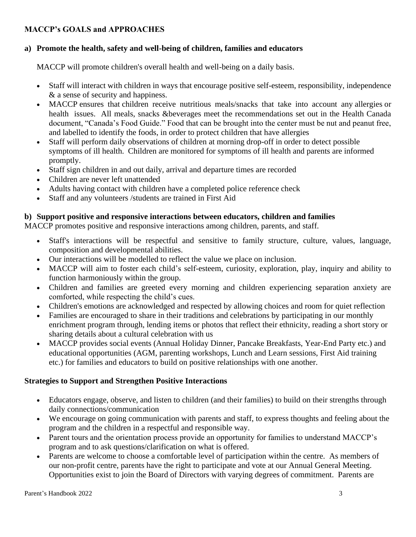# **MACCP's GOALS and APPROACHES**

# **a) Promote the health, safety and well-being of children, families and educators**

MACCP will promote children's overall health and well-being on a daily basis.

- Staff will interact with children in ways that encourage positive self-esteem, responsibility, independence & a sense of security and happiness.
- MACCP ensures that children receive nutritious meals/snacks that take into account any allergies or health issues. All meals, snacks &beverages meet the recommendations set out in the Health Canada document, "Canada's Food Guide." Food that can be brought into the center must be nut and peanut free, and labelled to identify the foods, in order to protect children that have allergies
- Staff will perform daily observations of children at morning drop-off in order to detect possible symptoms of ill health. Children are monitored for symptoms of ill health and parents are informed promptly.
- Staff sign children in and out daily, arrival and departure times are recorded
- Children are never left unattended
- Adults having contact with children have a completed police reference check
- Staff and any volunteers /students are trained in First Aid

# **b) Support positive and responsive interactions between educators, children and families**

MACCP promotes positive and responsive interactions among children, parents, and staff.

- Staff's interactions will be respectful and sensitive to family structure, culture, values, language, composition and developmental abilities.
- Our interactions will be modelled to reflect the value we place on inclusion.
- MACCP will aim to foster each child's self-esteem, curiosity, exploration, play, inquiry and ability to function harmoniously within the group.
- Children and families are greeted every morning and children experiencing separation anxiety are comforted, while respecting the child's cues.
- Children's emotions are acknowledged and respected by allowing choices and room for quiet reflection
- Families are encouraged to share in their traditions and celebrations by participating in our monthly enrichment program through, lending items or photos that reflect their ethnicity, reading a short story or sharing details about a cultural celebration with us
- MACCP provides social events (Annual Holiday Dinner, Pancake Breakfasts, Year-End Party etc.) and educational opportunities (AGM, parenting workshops, Lunch and Learn sessions, First Aid training etc.) for families and educators to build on positive relationships with one another.

# **Strategies to Support and Strengthen Positive Interactions**

- Educators engage, observe, and listen to children (and their families) to build on their strengths through daily connections/communication
- We encourage on going communication with parents and staff, to express thoughts and feeling about the program and the children in a respectful and responsible way.
- Parent tours and the orientation process provide an opportunity for families to understand MACCP's program and to ask questions/clarification on what is offered.
- Parents are welcome to choose a comfortable level of participation within the centre. As members of our non-profit centre, parents have the right to participate and vote at our Annual General Meeting. Opportunities exist to join the Board of Directors with varying degrees of commitment. Parents are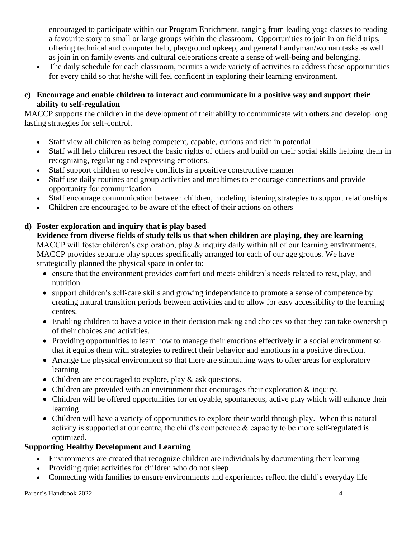encouraged to participate within our Program Enrichment, ranging from leading yoga classes to reading a favourite story to small or large groups within the classroom. Opportunities to join in on field trips, offering technical and computer help, playground upkeep, and general handyman/woman tasks as well as join in on family events and cultural celebrations create a sense of well-being and belonging.

• The daily schedule for each classroom, permits a wide variety of activities to address these opportunities for every child so that he/she will feel confident in exploring their learning environment.

# **c) Encourage and enable children to interact and communicate in a positive way and support their ability to self-regulation**

MACCP supports the children in the development of their ability to communicate with others and develop long lasting strategies for self-control.

- Staff view all children as being competent, capable, curious and rich in potential.
- Staff will help children respect the basic rights of others and build on their social skills helping them in recognizing, regulating and expressing emotions.
- Staff support children to resolve conflicts in a positive constructive manner
- Staff use daily routines and group activities and mealtimes to encourage connections and provide opportunity for communication
- Staff encourage communication between children, modeling listening strategies to support relationships.
- Children are encouraged to be aware of the effect of their actions on others

# **d) Foster exploration and inquiry that is play based**

**Evidence from diverse fields of study tells us that when children are playing, they are learning**  MACCP will foster children's exploration, play & inquiry daily within all of our learning environments. MACCP provides separate play spaces specifically arranged for each of our age groups. We have strategically planned the physical space in order to:

- ensure that the environment provides comfort and meets children's needs related to rest, play, and nutrition.
- support children's self-care skills and growing independence to promote a sense of competence by creating natural transition periods between activities and to allow for easy accessibility to the learning centres.
- Enabling children to have a voice in their decision making and choices so that they can take ownership of their choices and activities.
- Providing opportunities to learn how to manage their emotions effectively in a social environment so that it equips them with strategies to redirect their behavior and emotions in a positive direction.
- Arrange the physical environment so that there are stimulating ways to offer areas for exploratory learning
- Children are encouraged to explore, play & ask questions.
- Children are provided with an environment that encourages their exploration & inquiry.
- Children will be offered opportunities for enjoyable, spontaneous, active play which will enhance their learning
- Children will have a variety of opportunities to explore their world through play. When this natural activity is supported at our centre, the child's competence & capacity to be more self-regulated is optimized.

# **Supporting Healthy Development and Learning**

- Environments are created that recognize children are individuals by documenting their learning
- Providing quiet activities for children who do not sleep
- Connecting with families to ensure environments and experiences reflect the child`s everyday life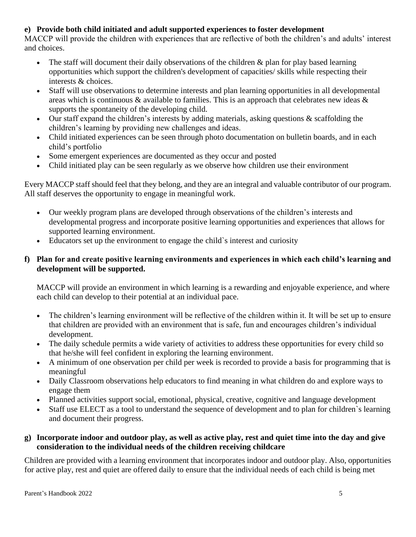# **e) Provide both child initiated and adult supported experiences to foster development**

MACCP will provide the children with experiences that are reflective of both the children's and adults' interest and choices.

- The staff will document their daily observations of the children  $\&$  plan for play based learning opportunities which support the children's development of capacities/ skills while respecting their interests & choices.
- Staff will use observations to determine interests and plan learning opportunities in all developmental areas which is continuous & available to families. This is an approach that celebrates new ideas & supports the spontaneity of the developing child.
- Our staff expand the children's interests by adding materials, asking questions  $\&$  scaffolding the children's learning by providing new challenges and ideas.
- Child initiated experiences can be seen through photo documentation on bulletin boards, and in each child's portfolio
- Some emergent experiences are documented as they occur and posted
- Child initiated play can be seen regularly as we observe how children use their environment

Every MACCP staff should feel that they belong, and they are an integral and valuable contributor of our program. All staff deserves the opportunity to engage in meaningful work.

- Our weekly program plans are developed through observations of the children's interests and developmental progress and incorporate positive learning opportunities and experiences that allows for supported learning environment.
- Educators set up the environment to engage the child`s interest and curiosity

# **f) Plan for and create positive learning environments and experiences in which each child's learning and development will be supported.**

MACCP will provide an environment in which learning is a rewarding and enjoyable experience, and where each child can develop to their potential at an individual pace.

- The children's learning environment will be reflective of the children within it. It will be set up to ensure that children are provided with an environment that is safe, fun and encourages children's individual development.
- The daily schedule permits a wide variety of activities to address these opportunities for every child so that he/she will feel confident in exploring the learning environment.
- A minimum of one observation per child per week is recorded to provide a basis for programming that is meaningful
- Daily Classroom observations help educators to find meaning in what children do and explore ways to engage them
- Planned activities support social, emotional, physical, creative, cognitive and language development
- Staff use ELECT as a tool to understand the sequence of development and to plan for children's learning and document their progress.

# **g) Incorporate indoor and outdoor play, as well as active play, rest and quiet time into the day and give consideration to the individual needs of the children receiving childcare**

Children are provided with a learning environment that incorporates indoor and outdoor play. Also, opportunities for active play, rest and quiet are offered daily to ensure that the individual needs of each child is being met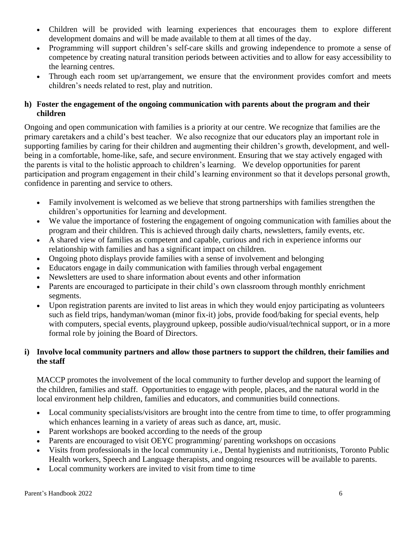- Children will be provided with learning experiences that encourages them to explore different development domains and will be made available to them at all times of the day.
- Programming will support children's self-care skills and growing independence to promote a sense of competence by creating natural transition periods between activities and to allow for easy accessibility to the learning centres.
- Through each room set up/arrangement, we ensure that the environment provides comfort and meets children's needs related to rest, play and nutrition.

# **h) Foster the engagement of the ongoing communication with parents about the program and their children**

Ongoing and open communication with families is a priority at our centre. We recognize that families are the primary caretakers and a child's best teacher. We also recognize that our educators play an important role in supporting families by caring for their children and augmenting their children's growth, development, and wellbeing in a comfortable, home-like, safe, and secure environment. Ensuring that we stay actively engaged with the parents is vital to the holistic approach to children's learning. We develop opportunities for parent participation and program engagement in their child's learning environment so that it develops personal growth, confidence in parenting and service to others.

- Family involvement is welcomed as we believe that strong partnerships with families strengthen the children's opportunities for learning and development.
- We value the importance of fostering the engagement of ongoing communication with families about the program and their children. This is achieved through daily charts, newsletters, family events, etc.
- A shared view of families as competent and capable, curious and rich in experience informs our relationship with families and has a significant impact on children.
- Ongoing photo displays provide families with a sense of involvement and belonging
- Educators engage in daily communication with families through verbal engagement
- Newsletters are used to share information about events and other information
- Parents are encouraged to participate in their child's own classroom through monthly enrichment segments.
- Upon registration parents are invited to list areas in which they would enjoy participating as volunteers such as field trips, handyman/woman (minor fix-it) jobs, provide food/baking for special events, help with computers, special events, playground upkeep, possible audio/visual/technical support, or in a more formal role by joining the Board of Directors.

# **i) Involve local community partners and allow those partners to support the children, their families and the staff**

MACCP promotes the involvement of the local community to further develop and support the learning of the children, families and staff. Opportunities to engage with people, places, and the natural world in the local environment help children, families and educators, and communities build connections.

- Local community specialists/visitors are brought into the centre from time to time, to offer programming which enhances learning in a variety of areas such as dance, art, music.
- Parent workshops are booked according to the needs of the group
- Parents are encouraged to visit OEYC programming/ parenting workshops on occasions
- Visits from professionals in the local community i.e., Dental hygienists and nutritionists, Toronto Public Health workers, Speech and Language therapists, and ongoing resources will be available to parents.
- Local community workers are invited to visit from time to time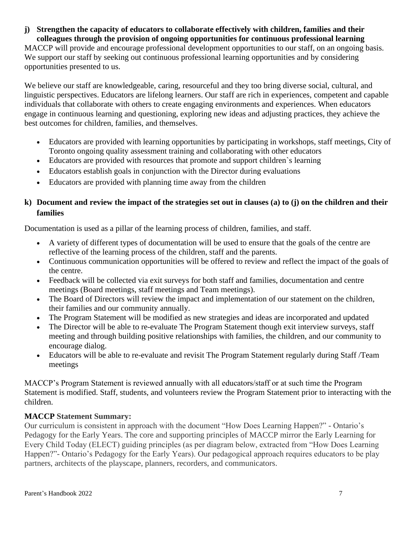**j) Strengthen the capacity of educators to collaborate effectively with children, families and their colleagues through the provision of ongoing opportunities for continuous professional learning** 

MACCP will provide and encourage professional development opportunities to our staff, on an ongoing basis. We support our staff by seeking out continuous professional learning opportunities and by considering opportunities presented to us.

We believe our staff are knowledgeable, caring, resourceful and they too bring diverse social, cultural, and linguistic perspectives. Educators are lifelong learners. Our staff are rich in experiences, competent and capable individuals that collaborate with others to create engaging environments and experiences. When educators engage in continuous learning and questioning, exploring new ideas and adjusting practices, they achieve the best outcomes for children, families, and themselves.

- Educators are provided with learning opportunities by participating in workshops, staff meetings, City of Toronto ongoing quality assessment training and collaborating with other educators
- Educators are provided with resources that promote and support children's learning
- Educators establish goals in conjunction with the Director during evaluations
- Educators are provided with planning time away from the children

# **k) Document and review the impact of the strategies set out in clauses (a) to (j) on the children and their families**

Documentation is used as a pillar of the learning process of children, families, and staff.

- A variety of different types of documentation will be used to ensure that the goals of the centre are reflective of the learning process of the children, staff and the parents.
- Continuous communication opportunities will be offered to review and reflect the impact of the goals of the centre.
- Feedback will be collected via exit surveys for both staff and families, documentation and centre meetings (Board meetings, staff meetings and Team meetings).
- The Board of Directors will review the impact and implementation of our statement on the children, their families and our community annually.
- The Program Statement will be modified as new strategies and ideas are incorporated and updated
- The Director will be able to re-evaluate The Program Statement though exit interview surveys, staff meeting and through building positive relationships with families, the children, and our community to encourage dialog.
- Educators will be able to re-evaluate and revisit The Program Statement regularly during Staff */Team* meetings

MACCP's Program Statement is reviewed annually with all educators/staff or at such time the Program Statement is modified. Staff, students, and volunteers review the Program Statement prior to interacting with the children.

# **MACCP Statement Summary:**

Our curriculum is consistent in approach with the document "How Does Learning Happen?" - Ontario's Pedagogy for the Early Years. The core and supporting principles of MACCP mirror the Early Learning for Every Child Today (ELECT) guiding principles (as per diagram below, extracted from "How Does Learning Happen?"- Ontario's Pedagogy for the Early Years). Our pedagogical approach requires educators to be play partners, architects of the playscape, planners, recorders, and communicators.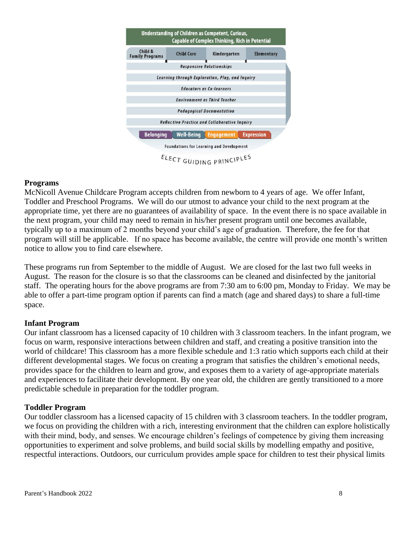

#### <span id="page-11-0"></span>**Programs**

McNicoll Avenue Childcare Program accepts children from newborn to 4 years of age. We offer Infant, Toddler and Preschool Programs. We will do our utmost to advance your child to the next program at the appropriate time, yet there are no guarantees of availability of space. In the event there is no space available in the next program, your child may need to remain in his/her present program until one becomes available, typically up to a maximum of 2 months beyond your child's age of graduation. Therefore, the fee for that program will still be applicable. If no space has become available, the centre will provide one month's written notice to allow you to find care elsewhere.

These programs run from September to the middle of August. We are closed for the last two full weeks in August. The reason for the closure is so that the classrooms can be cleaned and disinfected by the janitorial staff. The operating hours for the above programs are from 7:30 am to 6:00 pm, Monday to Friday. We may be able to offer a part-time program option if parents can find a match (age and shared days) to share a full-time space.

#### <span id="page-11-1"></span>**Infant Program**

Our infant classroom has a licensed capacity of 10 children with 3 classroom teachers. In the infant program, we focus on warm, responsive interactions between children and staff, and creating a positive transition into the world of childcare! This classroom has a more flexible schedule and 1:3 ratio which supports each child at their different developmental stages. We focus on creating a program that satisfies the children's emotional needs, provides space for the children to learn and grow, and exposes them to a variety of age-appropriate materials and experiences to facilitate their development. By one year old, the children are gently transitioned to a more predictable schedule in preparation for the toddler program.

#### <span id="page-11-2"></span>**Toddler Program**

Our toddler classroom has a licensed capacity of 15 children with 3 classroom teachers. In the toddler program, we focus on providing the children with a rich, interesting environment that the children can explore holistically with their mind, body, and senses. We encourage children's feelings of competence by giving them increasing opportunities to experiment and solve problems, and build social skills by modelling empathy and positive, respectful interactions. Outdoors, our curriculum provides ample space for children to test their physical limits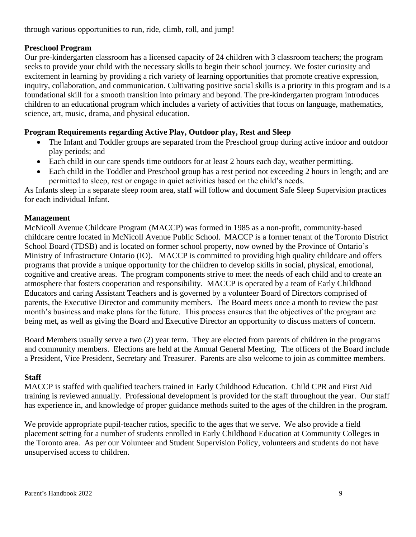# <span id="page-12-0"></span>**Preschool Program**

Our pre-kindergarten classroom has a licensed capacity of 24 children with 3 classroom teachers; the program seeks to provide your child with the necessary skills to begin their school journey. We foster curiosity and excitement in learning by providing a rich variety of learning opportunities that promote creative expression, inquiry, collaboration, and communication. Cultivating positive social skills is a priority in this program and is a foundational skill for a smooth transition into primary and beyond. The pre-kindergarten program introduces children to an educational program which includes a variety of activities that focus on language, mathematics, science, art, music, drama, and physical education.

# <span id="page-12-1"></span>**Program Requirements regarding Active Play, Outdoor play, Rest and Sleep**

- The Infant and Toddler groups are separated from the Preschool group during active indoor and outdoor play periods; and
- Each child in our care spends time outdoors for at least 2 hours each day, weather permitting.
- Each child in the Toddler and Preschool group has a rest period not exceeding 2 hours in length; and are permitted to sleep, rest or engage in quiet activities based on the child's needs.

As Infants sleep in a separate sleep room area, staff will follow and document Safe Sleep Supervision practices for each individual Infant.

# <span id="page-12-2"></span>**Management**

McNicoll Avenue Childcare Program (MACCP) was formed in 1985 as a non-profit, community-based childcare centre located in McNicoll Avenue Public School. MACCP is a former tenant of the Toronto District School Board (TDSB) and is located on former school property, now owned by the Province of Ontario's Ministry of Infrastructure Ontario (IO). MACCP is committed to providing high quality childcare and offers programs that provide a unique opportunity for the children to develop skills in social, physical, emotional, cognitive and creative areas. The program components strive to meet the needs of each child and to create an atmosphere that fosters cooperation and responsibility. MACCP is operated by a team of Early Childhood Educators and caring Assistant Teachers and is governed by a volunteer Board of Directors comprised of parents, the Executive Director and community members. The Board meets once a month to review the past month's business and make plans for the future. This process ensures that the objectives of the program are being met, as well as giving the Board and Executive Director an opportunity to discuss matters of concern.

Board Members usually serve a two (2) year term. They are elected from parents of children in the programs and community members. Elections are held at the Annual General Meeting. The officers of the Board include a President, Vice President, Secretary and Treasurer. Parents are also welcome to join as committee members.

# <span id="page-12-3"></span>**Staff**

MACCP is staffed with qualified teachers trained in Early Childhood Education. Child CPR and First Aid training is reviewed annually. Professional development is provided for the staff throughout the year. Our staff has experience in, and knowledge of proper guidance methods suited to the ages of the children in the program.

We provide appropriate pupil-teacher ratios, specific to the ages that we serve. We also provide a field placement setting for a number of students enrolled in Early Childhood Education at Community Colleges in the Toronto area. As per our Volunteer and Student Supervision Policy, volunteers and students do not have unsupervised access to children.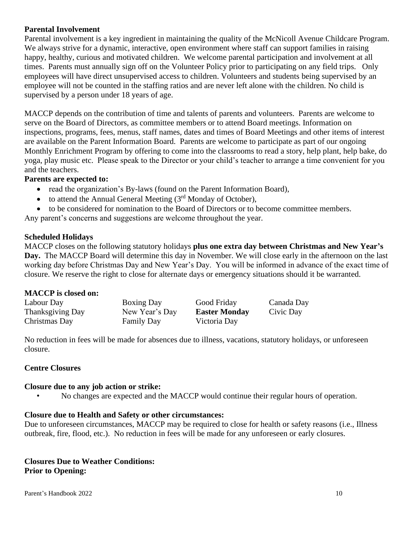# <span id="page-13-0"></span>**Parental Involvement**

Parental involvement is a key ingredient in maintaining the quality of the McNicoll Avenue Childcare Program. We always strive for a dynamic, interactive, open environment where staff can support families in raising happy, healthy, curious and motivated children. We welcome parental participation and involvement at all times. Parents must annually sign off on the Volunteer Policy prior to participating on any field trips. Only employees will have direct unsupervised access to children. Volunteers and students being supervised by an employee will not be counted in the staffing ratios and are never left alone with the children. No child is supervised by a person under 18 years of age.

MACCP depends on the contribution of time and talents of parents and volunteers. Parents are welcome to serve on the Board of Directors, as committee members or to attend Board meetings. Information on inspections, programs, fees, menus, staff names, dates and times of Board Meetings and other items of interest are available on the Parent Information Board. Parents are welcome to participate as part of our ongoing Monthly Enrichment Program by offering to come into the classrooms to read a story, help plant, help bake, do yoga, play music etc. Please speak to the Director or your child's teacher to arrange a time convenient for you and the teachers.

### **Parents are expected to:**

- read the organization's By-laws (found on the Parent Information Board),
- to attend the Annual General Meeting  $(3<sup>rd</sup>$  Monday of October),
- to be considered for nomination to the Board of Directors or to become committee members.

Any parent's concerns and suggestions are welcome throughout the year.

# <span id="page-13-1"></span>**Scheduled Holidays**

MACCP closes on the following statutory holidays **plus one extra day between Christmas and New Year's Day.** The MACCP Board will determine this day in November. We will close early in the afternoon on the last working day before Christmas Day and New Year's Day. You will be informed in advance of the exact time of closure. We reserve the right to close for alternate days or emergency situations should it be warranted.

#### **MACCP is closed on:**

| Labour Day       | <b>Boxing Day</b> | Good Friday          | Canada Day |
|------------------|-------------------|----------------------|------------|
| Thanksgiving Day | New Year's Day    | <b>Easter Monday</b> | Civic Day  |
| Christmas Day    | <b>Family Day</b> | Victoria Day         |            |

No reduction in fees will be made for absences due to illness, vacations, statutory holidays, or unforeseen closure.

# <span id="page-13-2"></span>**Centre Closures**

#### **Closure due to any job action or strike:**

• No changes are expected and the MACCP would continue their regular hours of operation.

# **Closure due to Health and Safety or other circumstances:**

Due to unforeseen circumstances, MACCP may be required to close for health or safety reasons (i.e., Illness outbreak, fire, flood, etc.). No reduction in fees will be made for any unforeseen or early closures.

### **Closures Due to Weather Conditions: Prior to Opening:**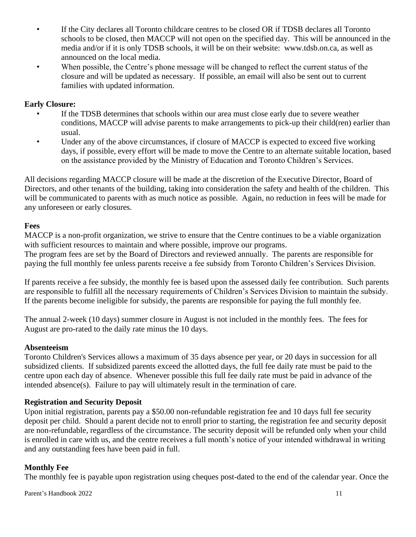- If the City declares all Toronto childcare centres to be closed OR if TDSB declares all Toronto schools to be closed, then MACCP will not open on the specified day. This will be announced in the media and/or if it is only TDSB schools, it will be on their website: www.tdsb.on.ca, as well as announced on the local media.
- When possible, the Centre's phone message will be changed to reflect the current status of the closure and will be updated as necessary. If possible, an email will also be sent out to current families with updated information.

# **Early Closure:**

- If the TDSB determines that schools within our area must close early due to severe weather conditions, MACCP will advise parents to make arrangements to pick-up their child(ren) earlier than usual.
- Under any of the above circumstances, if closure of MACCP is expected to exceed five working days, if possible, every effort will be made to move the Centre to an alternate suitable location, based on the assistance provided by the Ministry of Education and Toronto Children's Services.

All decisions regarding MACCP closure will be made at the discretion of the Executive Director, Board of Directors, and other tenants of the building, taking into consideration the safety and health of the children. This will be communicated to parents with as much notice as possible. Again, no reduction in fees will be made for any unforeseen or early closures.

# <span id="page-14-0"></span>**Fees**

MACCP is a non-profit organization, we strive to ensure that the Centre continues to be a viable organization with sufficient resources to maintain and where possible, improve our programs. The program fees are set by the Board of Directors and reviewed annually. The parents are responsible for paying the full monthly fee unless parents receive a fee subsidy from Toronto Children's Services Division.

If parents receive a fee subsidy, the monthly fee is based upon the assessed daily fee contribution. Such parents are responsible to fulfill all the necessary requirements of Children's Services Division to maintain the subsidy. If the parents become ineligible for subsidy, the parents are responsible for paying the full monthly fee.

The annual 2-week (10 days) summer closure in August is not included in the monthly fees. The fees for August are pro-rated to the daily rate minus the 10 days.

# <span id="page-14-1"></span>**Absenteeism**

Toronto Children's Services allows a maximum of 35 days absence per year, or 20 days in succession for all subsidized clients. If subsidized parents exceed the allotted days, the full fee daily rate must be paid to the centre upon each day of absence. Whenever possible this full fee daily rate must be paid in advance of the intended absence(s). Failure to pay will ultimately result in the termination of care.

# <span id="page-14-2"></span>**Registration and Security Deposit**

Upon initial registration, parents pay a \$50.00 non-refundable registration fee and 10 days full fee security deposit per child. Should a parent decide not to enroll prior to starting, the registration fee and security deposit are non-refundable, regardless of the circumstance. The security deposit will be refunded only when your child is enrolled in care with us, and the centre receives a full month's notice of your intended withdrawal in writing and any outstanding fees have been paid in full.

# <span id="page-14-3"></span>**Monthly Fee**

The monthly fee is payable upon registration using cheques post-dated to the end of the calendar year. Once the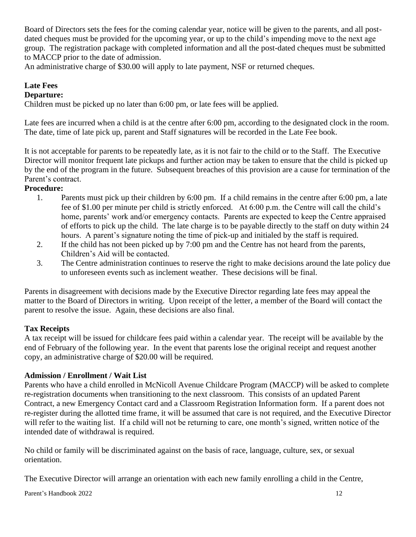Board of Directors sets the fees for the coming calendar year, notice will be given to the parents, and all postdated cheques must be provided for the upcoming year, or up to the child's impending move to the next age group. The registration package with completed information and all the post-dated cheques must be submitted to MACCP prior to the date of admission.

An administrative charge of \$30.00 will apply to late payment, NSF or returned cheques.

# <span id="page-15-0"></span>**Late Fees**

# **Departure:**

Children must be picked up no later than 6:00 pm, or late fees will be applied.

Late fees are incurred when a child is at the centre after 6:00 pm, according to the designated clock in the room. The date, time of late pick up, parent and Staff signatures will be recorded in the Late Fee book.

It is not acceptable for parents to be repeatedly late, as it is not fair to the child or to the Staff. The Executive Director will monitor frequent late pickups and further action may be taken to ensure that the child is picked up by the end of the program in the future. Subsequent breaches of this provision are a cause for termination of the Parent's contract.

# **Procedure:**

- 1. Parents must pick up their children by 6:00 pm. If a child remains in the centre after 6:00 pm, a late fee of \$1.00 per minute per child is strictly enforced. At 6:00 p.m. the Centre will call the child's home, parents' work and/or emergency contacts. Parents are expected to keep the Centre appraised of efforts to pick up the child. The late charge is to be payable directly to the staff on duty within 24 hours. A parent's signature noting the time of pick-up and initialed by the staff is required.
- 2. If the child has not been picked up by 7:00 pm and the Centre has not heard from the parents, Children's Aid will be contacted.
- 3. The Centre administration continues to reserve the right to make decisions around the late policy due to unforeseen events such as inclement weather. These decisions will be final.

Parents in disagreement with decisions made by the Executive Director regarding late fees may appeal the matter to the Board of Directors in writing. Upon receipt of the letter, a member of the Board will contact the parent to resolve the issue. Again, these decisions are also final.

# <span id="page-15-1"></span>**Tax Receipts**

A tax receipt will be issued for childcare fees paid within a calendar year. The receipt will be available by the end of February of the following year. In the event that parents lose the original receipt and request another copy, an administrative charge of \$20.00 will be required.

# <span id="page-15-2"></span>**Admission / Enrollment / Wait List**

Parents who have a child enrolled in McNicoll Avenue Childcare Program (MACCP) will be asked to complete re-registration documents when transitioning to the next classroom. This consists of an updated Parent Contract, a new Emergency Contact card and a Classroom Registration Information form. If a parent does not re-register during the allotted time frame, it will be assumed that care is not required, and the Executive Director will refer to the waiting list. If a child will not be returning to care, one month's signed, written notice of the intended date of withdrawal is required.

No child or family will be discriminated against on the basis of race, language, culture, sex, or sexual orientation.

The Executive Director will arrange an orientation with each new family enrolling a child in the Centre,

Parent's Handbook 2022 12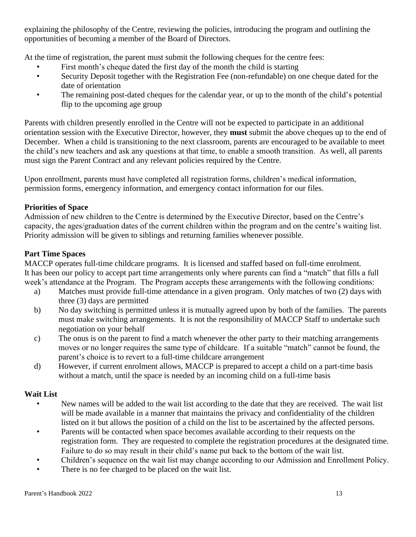explaining the philosophy of the Centre, reviewing the policies, introducing the program and outlining the opportunities of becoming a member of the Board of Directors.

At the time of registration, the parent must submit the following cheques for the centre fees:

- First month's cheque dated the first day of the month the child is starting
- Security Deposit together with the Registration Fee (non-refundable) on one cheque dated for the date of orientation
- The remaining post-dated cheques for the calendar year, or up to the month of the child's potential flip to the upcoming age group

Parents with children presently enrolled in the Centre will not be expected to participate in an additional orientation session with the Executive Director, however, they **must** submit the above cheques up to the end of December. When a child is transitioning to the next classroom, parents are encouraged to be available to meet the child's new teachers and ask any questions at that time, to enable a smooth transition. As well, all parents must sign the Parent Contract and any relevant policies required by the Centre.

Upon enrollment, parents must have completed all registration forms, children's medical information, permission forms, emergency information, and emergency contact information for our files.

# **Priorities of Space**

Admission of new children to the Centre is determined by the Executive Director, based on the Centre's capacity, the ages/graduation dates of the current children within the program and on the centre's waiting list. Priority admission will be given to siblings and returning families whenever possible.

# **Part Time Spaces**

MACCP operates full-time childcare programs. It is licensed and staffed based on full-time enrolment. It has been our policy to accept part time arrangements only where parents can find a "match" that fills a full week's attendance at the Program. The Program accepts these arrangements with the following conditions:

- a) Matches must provide full-time attendance in a given program. Only matches of two (2) days with three (3) days are permitted
- b) No day switching is permitted unless it is mutually agreed upon by both of the families. The parents must make switching arrangements. It is not the responsibility of MACCP Staff to undertake such negotiation on your behalf
- c) The onus is on the parent to find a match whenever the other party to their matching arrangements moves or no longer requires the same type of childcare. If a suitable "match" cannot be found, the parent's choice is to revert to a full-time childcare arrangement
- d) However, if current enrolment allows, MACCP is prepared to accept a child on a part-time basis without a match, until the space is needed by an incoming child on a full-time basis

# **Wait List**

- New names will be added to the wait list according to the date that they are received. The wait list will be made available in a manner that maintains the privacy and confidentiality of the children listed on it but allows the position of a child on the list to be ascertained by the affected persons.
- Parents will be contacted when space becomes available according to their requests on the registration form. They are requested to complete the registration procedures at the designated time. Failure to do so may result in their child's name put back to the bottom of the wait list.
- Children's sequence on the wait list may change according to our Admission and Enrollment Policy.
- There is no fee charged to be placed on the wait list.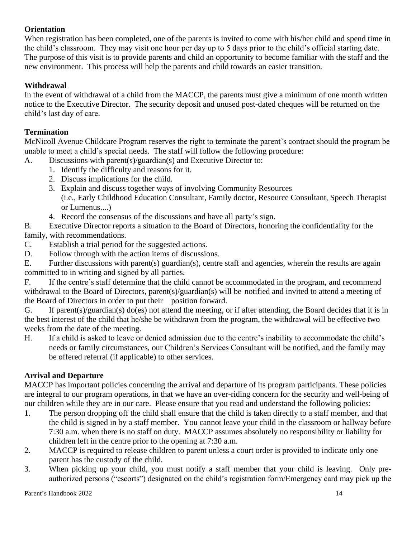# <span id="page-17-0"></span>**Orientation**

When registration has been completed, one of the parents is invited to come with his/her child and spend time in the child's classroom. They may visit one hour per day up to 5 days prior to the child's official starting date. The purpose of this visit is to provide parents and child an opportunity to become familiar with the staff and the new environment. This process will help the parents and child towards an easier transition.

# <span id="page-17-1"></span>**Withdrawal**

In the event of withdrawal of a child from the MACCP, the parents must give a minimum of one month written notice to the Executive Director. The security deposit and unused post-dated cheques will be returned on the child's last day of care.

# <span id="page-17-2"></span>**Termination**

McNicoll Avenue Childcare Program reserves the right to terminate the parent's contract should the program be unable to meet a child's special needs. The staff will follow the following procedure:

- A. Discussions with parent(s)/guardian(s) and Executive Director to:
	- 1. Identify the difficulty and reasons for it.
	- 2. Discuss implications for the child.
	- 3. Explain and discuss together ways of involving Community Resources (i.e., Early Childhood Education Consultant, Family doctor, Resource Consultant, Speech Therapist or Lumenus....)
	- 4. Record the consensus of the discussions and have all party's sign.

B. Executive Director reports a situation to the Board of Directors, honoring the confidentiality for the family, with recommendations.

- C. Establish a trial period for the suggested actions.
- D. Follow through with the action items of discussions.

E. Further discussions with parent(s) guardian(s), centre staff and agencies, wherein the results are again committed to in writing and signed by all parties.

F. If the centre's staff determine that the child cannot be accommodated in the program, and recommend withdrawal to the Board of Directors, parent(s)/guardian(s) will be notified and invited to attend a meeting of the Board of Directors in order to put their position forward.

G. If parent(s)/guardian(s) do(es) not attend the meeting, or if after attending, the Board decides that it is in the best interest of the child that he/she be withdrawn from the program, the withdrawal will be effective two weeks from the date of the meeting.

H. If a child is asked to leave or denied admission due to the centre's inability to accommodate the child's needs or family circumstances, our Children's Services Consultant will be notified, and the family may be offered referral (if applicable) to other services.

# <span id="page-17-3"></span>**Arrival and Departure**

MACCP has important policies concerning the arrival and departure of its program participants. These policies are integral to our program operations, in that we have an over-riding concern for the security and well-being of our children while they are in our care. Please ensure that you read and understand the following policies:

- 1. The person dropping off the child shall ensure that the child is taken directly to a staff member, and that the child is signed in by a staff member. You cannot leave your child in the classroom or hallway before 7:30 a.m. when there is no staff on duty. MACCP assumes absolutely no responsibility or liability for children left in the centre prior to the opening at 7:30 a.m.
- 2. MACCP is required to release children to parent unless a court order is provided to indicate only one parent has the custody of the child.
- 3. When picking up your child, you must notify a staff member that your child is leaving. Only preauthorized persons ("escorts") designated on the child's registration form/Emergency card may pick up the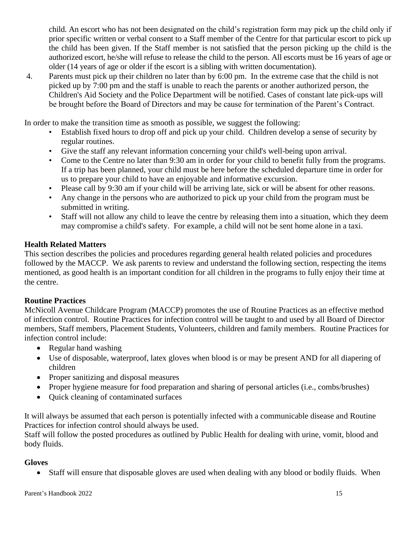child. An escort who has not been designated on the child's registration form may pick up the child only if prior specific written or verbal consent to a Staff member of the Centre for that particular escort to pick up the child has been given. If the Staff member is not satisfied that the person picking up the child is the authorized escort, he/she will refuse to release the child to the person. All escorts must be 16 years of age or older (14 years of age or older if the escort is a sibling with written documentation).

4. Parents must pick up their children no later than by 6:00 pm. In the extreme case that the child is not picked up by 7:00 pm and the staff is unable to reach the parents or another authorized person, the Children's Aid Society and the Police Department will be notified. Cases of constant late pick-ups will be brought before the Board of Directors and may be cause for termination of the Parent's Contract.

In order to make the transition time as smooth as possible, we suggest the following:

- Establish fixed hours to drop off and pick up your child. Children develop a sense of security by regular routines.
- Give the staff any relevant information concerning your child's well-being upon arrival.
- Come to the Centre no later than 9:30 am in order for your child to benefit fully from the programs. If a trip has been planned, your child must be here before the scheduled departure time in order for us to prepare your child to have an enjoyable and informative excursion.
- Please call by 9:30 am if your child will be arriving late, sick or will be absent for other reasons.
- Any change in the persons who are authorized to pick up your child from the program must be submitted in writing.
- Staff will not allow any child to leave the centre by releasing them into a situation, which they deem may compromise a child's safety. For example, a child will not be sent home alone in a taxi.

# <span id="page-18-0"></span>**Health Related Matters**

This section describes the policies and procedures regarding general health related policies and procedures followed by the MACCP. We ask parents to review and understand the following section, respecting the items mentioned, as good health is an important condition for all children in the programs to fully enjoy their time at the centre.

# <span id="page-18-1"></span>**Routine Practices**

McNicoll Avenue Childcare Program (MACCP) promotes the use of Routine Practices as an effective method of infection control. Routine Practices for infection control will be taught to and used by all Board of Director members, Staff members, Placement Students, Volunteers, children and family members. Routine Practices for infection control include:

- Regular hand washing
- Use of disposable, waterproof, latex gloves when blood is or may be present AND for all diapering of children
- Proper sanitizing and disposal measures
- Proper hygiene measure for food preparation and sharing of personal articles (i.e., combs/brushes)
- Quick cleaning of contaminated surfaces

It will always be assumed that each person is potentially infected with a communicable disease and Routine Practices for infection control should always be used.

Staff will follow the posted procedures as outlined by Public Health for dealing with urine, vomit, blood and body fluids.

# **Gloves**

• Staff will ensure that disposable gloves are used when dealing with any blood or bodily fluids. When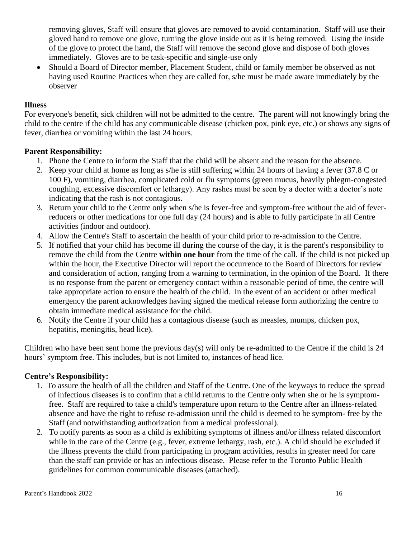removing gloves, Staff will ensure that gloves are removed to avoid contamination. Staff will use their gloved hand to remove one glove, turning the glove inside out as it is being removed. Using the inside of the glove to protect the hand, the Staff will remove the second glove and dispose of both gloves immediately. Gloves are to be task-specific and single-use only

• Should a Board of Director member, Placement Student, child or family member be observed as not having used Routine Practices when they are called for, s/he must be made aware immediately by the observer

### <span id="page-19-0"></span>**Illness**

For everyone's benefit, sick children will not be admitted to the centre. The parent will not knowingly bring the child to the centre if the child has any communicable disease (chicken pox, pink eye, etc.) or shows any signs of fever, diarrhea or vomiting within the last 24 hours.

#### <span id="page-19-1"></span>**Parent Responsibility:**

- 1. Phone the Centre to inform the Staff that the child will be absent and the reason for the absence.
- 2. Keep your child at home as long as s/he is still suffering within 24 hours of having a fever (37.8 C or 100 F), vomiting, diarrhea, complicated cold or flu symptoms (green mucus, heavily phlegm-congested coughing, excessive discomfort or lethargy). Any rashes must be seen by a doctor with a doctor's note indicating that the rash is not contagious.
- 3. Return your child to the Centre only when s/he is fever-free and symptom-free without the aid of feverreducers or other medications for one full day (24 hours) and is able to fully participate in all Centre activities (indoor and outdoor).
- 4. Allow the Centre's Staff to ascertain the health of your child prior to re-admission to the Centre.
- 5. If notified that your child has become ill during the course of the day, it is the parent's responsibility to remove the child from the Centre **within one hour** from the time of the call. If the child is not picked up within the hour, the Executive Director will report the occurrence to the Board of Directors for review and consideration of action, ranging from a warning to termination, in the opinion of the Board. If there is no response from the parent or emergency contact within a reasonable period of time, the centre will take appropriate action to ensure the health of the child. In the event of an accident or other medical emergency the parent acknowledges having signed the medical release form authorizing the centre to obtain immediate medical assistance for the child.
- 6. Notify the Centre if your child has a contagious disease (such as measles, mumps, chicken pox, hepatitis, meningitis, head lice).

Children who have been sent home the previous day(s) will only be re-admitted to the Centre if the child is 24 hours' symptom free. This includes, but is not limited to, instances of head lice.

#### <span id="page-19-2"></span>**Centre's Responsibility:**

- 1. To assure the health of all the children and Staff of the Centre. One of the keyways to reduce the spread of infectious diseases is to confirm that a child returns to the Centre only when she or he is symptomfree. Staff are required to take a child's temperature upon return to the Centre after an illness-related absence and have the right to refuse re-admission until the child is deemed to be symptom- free by the Staff (and notwithstanding authorization from a medical professional).
- 2. To notify parents as soon as a child is exhibiting symptoms of illness and/or illness related discomfort while in the care of the Centre (e.g., fever, extreme lethargy, rash, etc.). A child should be excluded if the illness prevents the child from participating in program activities, results in greater need for care than the staff can provide or has an infectious disease. Please refer to the Toronto Public Health guidelines for common communicable diseases (attached).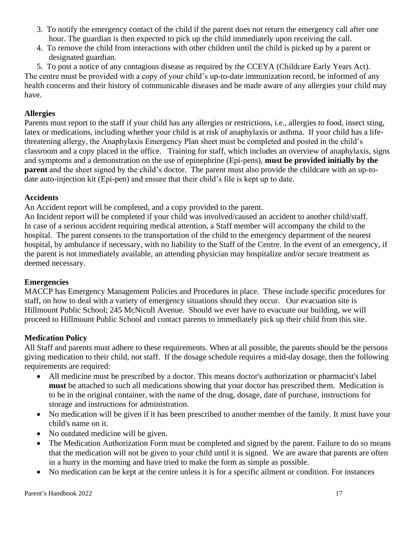- 3. To notify the emergency contact of the child if the parent does not return the emergency call after one hour. The guardian is then expected to pick up the child immediately upon receiving the call.
- 4. To remove the child from interactions with other children until the child is picked up by a parent or designated guardian.

5. To post a notice of any contagious disease as required by the CCEYA (Childcare Early Years Act). The centre must be provided with a copy of your child's up-to-date immunization record, be informed of any health concerns and their history of communicable diseases and be made aware of any allergies your child may have.

# <span id="page-20-0"></span>**Allergies**

Parents must report to the staff if your child has any allergies or restrictions, i.e., allergies to food, insect sting, latex or medications, including whether your child is at risk of anaphylaxis or asthma. If your child has a lifethreatening allergy, the Anaphylaxis Emergency Plan sheet must be completed and posted in the child's classroom and a copy placed in the office. Training for staff, which includes an overview of anaphylaxis, signs and symptoms and a demonstration on the use of epinephrine (Epi-pens), **must be provided initially by the parent** and the sheet signed by the child's doctor. The parent must also provide the childcare with an up-todate auto-injection kit (Epi-pen) and ensure that their child's file is kept up to date.

# <span id="page-20-1"></span>**Accidents**

An Accident report will be completed, and a copy provided to the parent.

An Incident report will be completed if your child was involved/caused an accident to another child/staff. In case of a serious accident requiring medical attention, a Staff member will accompany the child to the hospital. The parent consents to the transportation of the child to the emergency department of the nearest hospital, by ambulance if necessary, with no liability to the Staff of the Centre. In the event of an emergency, if the parent is not immediately available, an attending physician may hospitalize and/or secure treatment as deemed necessary.

# <span id="page-20-2"></span>**Emergencies**

MACCP has Emergency Management Policies and Procedures in place. These include specific procedures for staff, on how to deal with a variety of emergency situations should they occur. Our evacuation site is Hillmount Public School; 245 McNicoll Avenue. Should we ever have to evacuate our building, we will proceed to Hillmount Public School and contact parents to immediately pick up their child from this site.

# <span id="page-20-3"></span>**Medication Policy**

All Staff and parents must adhere to these requirements. When at all possible, the parents should be the persons giving medication to their child, not staff. If the dosage schedule requires a mid-day dosage, then the following requirements are required:

- All medicine must be prescribed by a doctor. This means doctor's authorization or pharmacist's label **must** be attached to such all medications showing that your doctor has prescribed them. Medication is to be in the original container, with the name of the drug, dosage, date of purchase, instructions for storage and instructions for administration.
- No medication will be given if it has been prescribed to another member of the family. It must have your child's name on it.
- No outdated medicine will be given.
- The Medication Authorization Form must be completed and signed by the parent. Failure to do so means that the medication will not be given to your child until it is signed. We are aware that parents are often in a hurry in the morning and have tried to make the form as simple as possible.
- No medication can be kept at the centre unless it is for a specific ailment or condition. For instances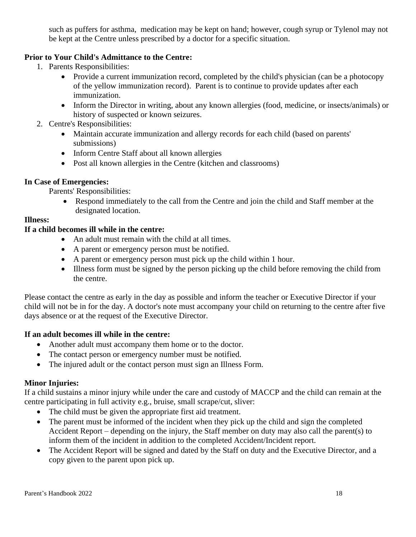such as puffers for asthma, medication may be kept on hand; however, cough syrup or Tylenol may not be kept at the Centre unless prescribed by a doctor for a specific situation.

# **Prior to Your Child's Admittance to the Centre:**

- 1. Parents Responsibilities:
	- Provide a current immunization record, completed by the child's physician (can be a photocopy of the yellow immunization record). Parent is to continue to provide updates after each immunization.
	- Inform the Director in writing, about any known allergies (food, medicine, or insects/animals) or history of suspected or known seizures.
- 2. Centre's Responsibilities:
	- Maintain accurate immunization and allergy records for each child (based on parents' submissions)
	- Inform Centre Staff about all known allergies
	- Post all known allergies in the Centre (kitchen and classrooms)

# **In Case of Emergencies:**

Parents' Responsibilities:

• Respond immediately to the call from the Centre and join the child and Staff member at the designated location.

### **Illness:**

# **If a child becomes ill while in the centre:**

- An adult must remain with the child at all times.
- A parent or emergency person must be notified.
- A parent or emergency person must pick up the child within 1 hour.
- Illness form must be signed by the person picking up the child before removing the child from the centre.

Please contact the centre as early in the day as possible and inform the teacher or Executive Director if your child will not be in for the day. A doctor's note must accompany your child on returning to the centre after five days absence or at the request of the Executive Director.

# **If an adult becomes ill while in the centre:**

- Another adult must accompany them home or to the doctor.
- The contact person or emergency number must be notified.
- The injured adult or the contact person must sign an Illness Form.

# **Minor Injuries:**

If a child sustains a minor injury while under the care and custody of MACCP and the child can remain at the centre participating in full activity e.g., bruise, small scrape/cut, sliver:

- The child must be given the appropriate first aid treatment.
- The parent must be informed of the incident when they pick up the child and sign the completed Accident Report – depending on the injury, the Staff member on duty may also call the parent(s) to inform them of the incident in addition to the completed Accident/Incident report.
- The Accident Report will be signed and dated by the Staff on duty and the Executive Director, and a copy given to the parent upon pick up.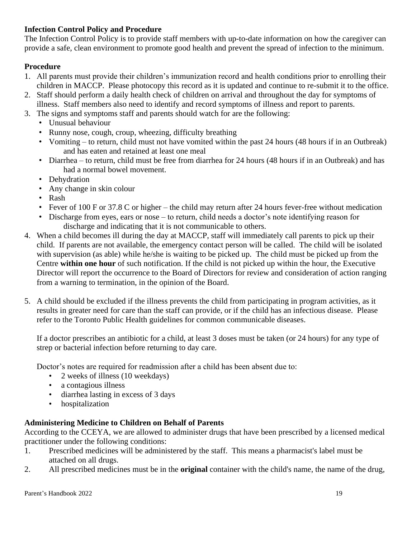# <span id="page-22-0"></span>**Infection Control Policy and Procedure**

The Infection Control Policy is to provide staff members with up-to-date information on how the caregiver can provide a safe, clean environment to promote good health and prevent the spread of infection to the minimum.

# **Procedure**

- 1. All parents must provide their children's immunization record and health conditions prior to enrolling their children in MACCP. Please photocopy this record as it is updated and continue to re-submit it to the office.
- 2. Staff should perform a daily health check of children on arrival and throughout the day for symptoms of illness. Staff members also need to identify and record symptoms of illness and report to parents.
- 3. The signs and symptoms staff and parents should watch for are the following:
	- Unusual behaviour
	- Runny nose, cough, croup, wheezing, difficulty breathing
	- Vomiting to return, child must not have vomited within the past 24 hours (48 hours if in an Outbreak) and has eaten and retained at least one meal
	- Diarrhea to return, child must be free from diarrhea for 24 hours (48 hours if in an Outbreak) and has had a normal bowel movement.
	- Dehydration
	- Any change in skin colour
	- Rash
	- Fever of 100 F or 37.8 C or higher the child may return after 24 hours fever-free without medication
	- Discharge from eyes, ears or nose to return, child needs a doctor's note identifying reason for discharge and indicating that it is not communicable to others.
- 4. When a child becomes ill during the day at MACCP, staff will immediately call parents to pick up their child. If parents are not available, the emergency contact person will be called. The child will be isolated with supervision (as able) while he/she is waiting to be picked up. The child must be picked up from the Centre **within one hour** of such notification. If the child is not picked up within the hour, the Executive Director will report the occurrence to the Board of Directors for review and consideration of action ranging from a warning to termination, in the opinion of the Board.
- 5. A child should be excluded if the illness prevents the child from participating in program activities, as it results in greater need for care than the staff can provide, or if the child has an infectious disease. Please refer to the Toronto Public Health guidelines for common communicable diseases.

If a doctor prescribes an antibiotic for a child, at least 3 doses must be taken (or 24 hours) for any type of strep or bacterial infection before returning to day care.

Doctor's notes are required for readmission after a child has been absent due to:

- 2 weeks of illness (10 weekdays)
- a contagious illness
- diarrhea lasting in excess of 3 days
- hospitalization

# <span id="page-22-1"></span>**Administering Medicine to Children on Behalf of Parents**

According to the CCEYA, we are allowed to administer drugs that have been prescribed by a licensed medical practitioner under the following conditions:

- 1. Prescribed medicines will be administered by the staff. This means a pharmacist's label must be attached on all drugs.
- 2. All prescribed medicines must be in the **original** container with the child's name, the name of the drug,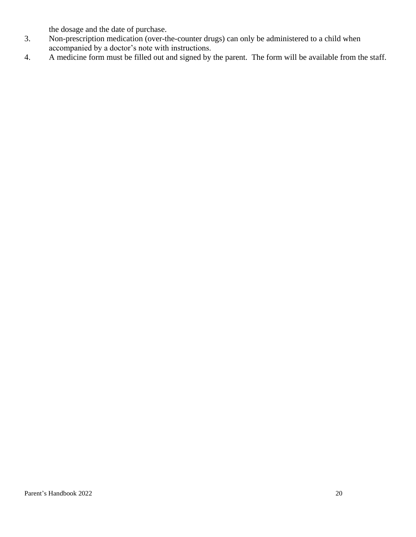the dosage and the date of purchase.

- 3. Non-prescription medication (over-the-counter drugs) can only be administered to a child when accompanied by a doctor's note with instructions.
- 4. A medicine form must be filled out and signed by the parent. The form will be available from the staff.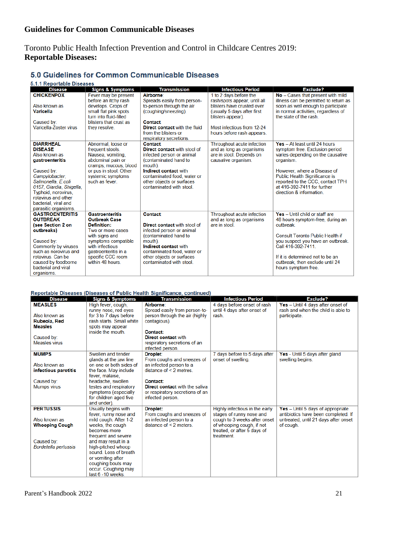# <span id="page-24-1"></span><span id="page-24-0"></span>**Guidelines for Common Communicable Diseases**

# <span id="page-24-2"></span>Toronto Public Health Infection Prevention and Control in Childcare Centres 2019: **Reportable Diseases:**

#### 5.0 Guidelines for Common Communicable Diseases

#### 511 Reportable Diseases

| o. i. i Reportable Diseases                    |                                                 |                                                                                  |                                                          |                                                                            |
|------------------------------------------------|-------------------------------------------------|----------------------------------------------------------------------------------|----------------------------------------------------------|----------------------------------------------------------------------------|
| <b>Disease</b>                                 | <b>Signs &amp; Symptoms</b>                     | <b>Transmission</b>                                                              | <b>Infectious Period</b>                                 | Exclude?                                                                   |
| <b>CHICKENPOX</b>                              | Fever may be present<br>before an itchy rash    | Airborne:<br>Spreads easily from person-                                         | 1 to 2 days before the<br>rash/spots appear, until all   | No - Cases that present with mild<br>illness can be permitted to return as |
| Also known as                                  | develops. Crops of                              | to-person through the air                                                        | blisters have crusted over                               | soon as well enough to participate                                         |
| <b>Varicella</b>                               | small flat pink spots<br>turn into fluid-filled | (coughing/sneezing).                                                             | (usually 5 days after first<br>blisters appear).         | in normal activities, regardless of<br>the state of the rash.              |
| Caused by:                                     | blisters that crust as                          | <b>Contact:</b>                                                                  |                                                          |                                                                            |
| Varicella-Zoster virus                         | they resolve.                                   | Direct contact with the fluid<br>from the blisters or<br>respiratory secretions. | Most infectious from 12-24<br>hours before rash appears. |                                                                            |
| <b>DIARRHEAL</b>                               | Abnormal, loose or                              | <b>Contact:</b>                                                                  | Throughout acute infection                               | Yes - At least until 24 hours                                              |
| <b>DISEASE</b>                                 | frequent stools.                                | Direct contact with stool of                                                     | and as long as organisms                                 | symptom free. Exclusion period                                             |
| Also known as                                  | Nausea, vomiting,                               | infected person or animal                                                        | are in stool. Depends on                                 | varies depending on the causative                                          |
| gastroenteritis                                | abdominal pain or<br>cramps, mucous, blood      | (contaminated hand to<br>mouth).                                                 | causative organism.                                      | organism.                                                                  |
| Caused by:                                     | or pus in stool. Other                          | Indirect contact with                                                            |                                                          | However, where a Disease of                                                |
| Campylobacter.                                 | systemic symptoms                               | contaminated food, water or                                                      |                                                          | Public Health Significance is                                              |
| Salmonella, E.coli                             | such as fever.                                  | other objects or surfaces                                                        |                                                          | reported to the CCC, contact TPH                                           |
| 0157, Giardia, Shigella,                       |                                                 | contaminated with stool.                                                         |                                                          | at 416-392-7411 for further                                                |
| Typhoid, norovirus,                            |                                                 |                                                                                  |                                                          | direction & information.                                                   |
| rotavirus and other                            |                                                 |                                                                                  |                                                          |                                                                            |
| bacterial, viral and                           |                                                 |                                                                                  |                                                          |                                                                            |
| parasitic organisms.<br><b>GASTROENTERITIS</b> | <b>Gastroenteritis</b>                          | <b>Contact:</b>                                                                  | Throughout acute infection                               | Yes - Until child or staff are                                             |
| <b>OUTBREAK</b>                                | <b>Outbreak Case</b>                            |                                                                                  | and as long as organisms                                 | 48 hours symptom-free, during an                                           |
| (see Section 2 on                              | Definition:                                     | Direct contact with stool of                                                     | are in stool.                                            | outbreak                                                                   |
| outbreaks)                                     | Two or more cases                               | infected person or animal                                                        |                                                          |                                                                            |
|                                                | with signs and                                  | (contaminated hand to                                                            |                                                          | Consult Toronto Public Health if                                           |
| Caused by:                                     | symptoms compatible                             | mouth).                                                                          |                                                          | you suspect you have an outbreak.                                          |
| Commonly by viruses                            | with infectious                                 | Indirect contact with                                                            |                                                          | Call 416-392-7411.                                                         |
| such as norovirus and                          | gastroenteritis in a                            | contaminated food, water or                                                      |                                                          |                                                                            |
| rotavirus. Can be                              | specific CCC room                               | other objects or surfaces                                                        |                                                          | If it is determined not to be an                                           |
| caused by foodborne                            | within 48 hours.                                | contaminated with stool.                                                         |                                                          | outbreak, then exclude until 24                                            |
| bacterial and viral                            |                                                 |                                                                                  |                                                          | hours symptom free.                                                        |
| organisms.                                     |                                                 |                                                                                  |                                                          |                                                                            |

#### Reportable Diseases (Diseases of Public Health Significance, continued)

|                       |                             | Reportable Diseases (Diseases of Public Health Significance, continued) |                                |                                      |
|-----------------------|-----------------------------|-------------------------------------------------------------------------|--------------------------------|--------------------------------------|
| <b>Disease</b>        | <b>Signs &amp; Symptoms</b> | <b>Transmission</b>                                                     | <b>Infectious Period</b>       | Exclude?                             |
| <b>MEASLES</b>        | High fever, cough,          | <b>Airborne</b>                                                         | 4 days before onset of rash    | Yes - Until 4 days after onset of    |
|                       | runny nose, red eyes        | Spread easily from person-to-                                           | until 4 days after onset of    | rash and when the child is able to   |
| Also known as         | for 3 to 7 days before      | person through the air (highly                                          | rash.                          | participate.                         |
| Rubeola, Red          | rash starts. Small white    | contagious).                                                            |                                |                                      |
| <b>Measles</b>        | spots may appear            |                                                                         |                                |                                      |
|                       | inside the mouth.           | Contact:                                                                |                                |                                      |
| Caused by:            |                             | <b>Direct contact with</b>                                              |                                |                                      |
| Measles virus         |                             | respiratory secretions of an                                            |                                |                                      |
|                       |                             | infected person.                                                        |                                |                                      |
| <b>MUMPS</b>          | Swollen and tender          | Droplet:                                                                | 7 days before to 5 days after  | Yes - Until 5 days after gland       |
|                       | glands at the jaw line      | From coughs and sneezes of                                              | onset of swelling.             | swelling begins.                     |
| Also known as         | on one or both sides of     | an infected person to a                                                 |                                |                                      |
| infectious parotitis  | the face. May include       | distance of $\leq$ 2 metres.                                            |                                |                                      |
|                       | fever, malaise,             |                                                                         |                                |                                      |
| Caused by:            | headache, swollen           | Contact:                                                                |                                |                                      |
| <b>Mumps virus</b>    | testes and respiratory      | <b>Direct contact with the salival</b>                                  |                                |                                      |
|                       | symptoms (especially        | or respiratory secretions of an                                         |                                |                                      |
|                       | for children aged five      | infected person.                                                        |                                |                                      |
|                       | and under).                 |                                                                         |                                |                                      |
| <b>PERTUSSIS</b>      | Usually begins with         | Droplet:                                                                | Highly infectious in the early | Yes - Until 5 days of appropriate    |
|                       | fever, runny nose and       | From coughs and sneezes of                                              | stages of runny nose and       | antibiotics have been completed. If  |
| Also known as         | mild cough. After 1-2       | an infected person to a                                                 | cough to 3 weeks after onset   | untreated, until 21 days after onset |
| <b>Whooping Cough</b> | weeks, the cough            | distance of $\leq$ 2 meters.                                            | of whooping cough, if not      | of cough.                            |
|                       | becomes more                |                                                                         | treated, or after 5 days of    |                                      |
|                       | frequent and severe         |                                                                         | treatment.                     |                                      |
| Caused by:            | and may result in a         |                                                                         |                                |                                      |
| Bordetella pertussis  | high-pitched whoop          |                                                                         |                                |                                      |
|                       | sound. Loss of breath       |                                                                         |                                |                                      |
|                       | or vomiting after           |                                                                         |                                |                                      |
|                       | coughing bouts may          |                                                                         |                                |                                      |
|                       | occur. Coughing may         |                                                                         |                                |                                      |
|                       | last 6 - 10 weeks.          |                                                                         |                                |                                      |
|                       |                             |                                                                         |                                |                                      |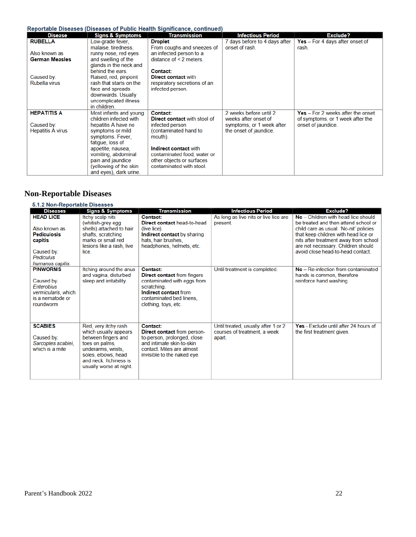#### Reportable Diseases (Diseases of Public Health Significance, continued)

|                          |                                         | neportable Diseases (Diseases of Fublic Health organicative, continued |                                                 |                                            |
|--------------------------|-----------------------------------------|------------------------------------------------------------------------|-------------------------------------------------|--------------------------------------------|
| <b>Disease</b>           | <b>Signs &amp; Symptoms</b>             | <b>Transmission</b>                                                    | <b>Infectious Period</b>                        | Exclude?                                   |
| <b>RUBELLA</b>           | Low-grade fever.<br>malaise, tiredness, | Droplet:<br>From coughs and sneezes of                                 | 7 days before to 4 days after<br>onset of rash. | Yes $-$ For 4 days after onset of<br>rash. |
| Also known as            | runny nose, red eyes                    | an infected person to a                                                |                                                 |                                            |
| <b>German Measles</b>    | and swelling of the                     | distance of $\leq$ 2 meters.                                           |                                                 |                                            |
|                          | glands in the neck and                  |                                                                        |                                                 |                                            |
|                          | behind the ears.                        | Contact:                                                               |                                                 |                                            |
| Caused by:               | Raised, red, pinpoint                   | Direct contact with                                                    |                                                 |                                            |
| Rubella virus            | rash that starts on the                 | respiratory secretions of an                                           |                                                 |                                            |
|                          | face and spreads                        | infected person.                                                       |                                                 |                                            |
|                          | downwards. Usually                      |                                                                        |                                                 |                                            |
|                          | uncomplicated illness                   |                                                                        |                                                 |                                            |
|                          | in children.                            |                                                                        |                                                 |                                            |
| <b>HEPATITIS A</b>       | Most infants and young                  | <b>Contact:</b>                                                        | 2 weeks before until 2                          | $Yes - For 2 weeks after the onset$        |
|                          | children infected with                  | <b>Direct contact with stool of</b>                                    | weeks after onset of                            | of symptoms, or 1 week after the           |
| Caused by:               | hepatitis A have no                     | infected person                                                        | symptoms, or 1 week after                       | onset of jaundice.                         |
| <b>Hepatitis A virus</b> | symptoms or mild                        | (contaminated hand to                                                  | the onset of jaundice.                          |                                            |
|                          | symptoms. Fever,                        | mouth).                                                                |                                                 |                                            |
|                          | fatigue, loss of                        |                                                                        |                                                 |                                            |
|                          | appetite, nausea,                       | Indirect contact with                                                  |                                                 |                                            |
|                          | vomiting, abdominal                     | contaminated food, water or                                            |                                                 |                                            |
|                          | pain and jaundice                       | other objects or surfaces                                              |                                                 |                                            |
|                          | (yellowing of the skin                  | contaminated with stool.                                               |                                                 |                                            |
|                          | and eyes), dark urine.                  |                                                                        |                                                 |                                            |

# <span id="page-25-0"></span>**Non-Reportable Diseases**

| 5.1.2 Non-Reportable Diseases                                                                                           |                                                                                                                                                                                         |                                                                                                                                                                           |                                                                               |                                                                                                                                                                                                                                                                                   |  |
|-------------------------------------------------------------------------------------------------------------------------|-----------------------------------------------------------------------------------------------------------------------------------------------------------------------------------------|---------------------------------------------------------------------------------------------------------------------------------------------------------------------------|-------------------------------------------------------------------------------|-----------------------------------------------------------------------------------------------------------------------------------------------------------------------------------------------------------------------------------------------------------------------------------|--|
| <b>Diseases</b>                                                                                                         | <b>Signs &amp; Symptoms</b>                                                                                                                                                             | <b>Transmission</b>                                                                                                                                                       | <b>Infectious Period</b>                                                      | <b>Exclude?</b>                                                                                                                                                                                                                                                                   |  |
| <b>HEAD LICE</b><br>Also known as<br><b>Pediculosis</b><br>capitis<br>Caused by:<br><b>Pediculus</b><br>humanus capitis | Itchy scalp nits<br>(whitish-grey egg<br>shells) attached to hair<br>shafts, scratching<br>marks or small red<br>lesions like a rash, live<br>lice                                      | Contact:<br>Direct contact head-to-head<br>(live lice).<br>Indirect contact by sharing<br>hats, hair brushes,<br>headphones, helmets, etc.                                | As long as live nits or live lice are<br>present.                             | No - Children with head lice should<br>be treated and then attend school or<br>child care as usual. 'No-nit' policies<br>that keep children with head lice or<br>nits after treatment away from school<br>are not necessary. Children should<br>avoid close head-to-head contact. |  |
| <b>PINWORMS</b><br>Caused by:<br><b>Enterobius</b><br>vermicularis, which<br>is a nematode or<br>roundworm              | Itching around the anus<br>and vagina, disturbed<br>sleep and irritability.                                                                                                             | Contact:<br><b>Direct contact from fingers</b><br>contaminated with eggs from<br>scratching.<br>Indirect contact from<br>contaminated bed linens.<br>clothing, toys, etc. | Until treatment is completed.                                                 | No - Re-infection from contaminated<br>hands is common, therefore<br>reinforce hand washing.                                                                                                                                                                                      |  |
| <b>SCABIES</b><br>Caused by:<br>Sarcoptes scabiei,<br>which is a mite                                                   | Red, very itchy rash<br>which usually appears<br>between fingers and<br>toes on palms,<br>underarms, wrists.<br>soles, elbows, head<br>and neck Itchiness is<br>usually worse at night. | Contact:<br><b>Direct contact from person-</b><br>to-person, prolonged, close<br>and intimate skin-to-skin<br>contact. Mites are almost<br>invisible to the naked eye.    | Until treated, usually after 1 or 2<br>courses of treatment, a week<br>apart. | Yes - Exclude until after 24 hours of<br>the first treatment given.                                                                                                                                                                                                               |  |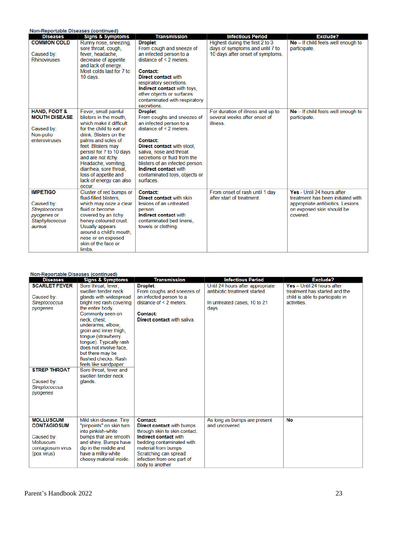| <b>Non-Reportable Diseases (continued)</b> |                             |                                   |                                   |                                    |
|--------------------------------------------|-----------------------------|-----------------------------------|-----------------------------------|------------------------------------|
| <b>Diseases</b>                            | <b>Signs &amp; Symptoms</b> | <b>Transmission</b>               | <b>Infectious Period</b>          | Exclude?                           |
| <b>COMMON COLD</b>                         | Runny nose, sneezing,       | <b>Droplet:</b>                   | Highest during the first 2 to 3   | No - If child feels well enough to |
|                                            | sore throat, cough,         | From cough and sneeze of          | days of symptoms and until 7 to   | participate.                       |
| Caused by:                                 | fever, headache,            | an infected person to a           | 10 days after onset of symptoms.  |                                    |
| <b>Rhinoviruses</b>                        | decrease of appetite        | distance of $\leq$ 2 meters.      |                                   |                                    |
|                                            | and lack of energy.         |                                   |                                   |                                    |
|                                            | Most colds last for 7 to    | Contact:                          |                                   |                                    |
|                                            | 10 days.                    | Direct contact with               |                                   |                                    |
|                                            |                             | respiratory secretions.           |                                   |                                    |
|                                            |                             | Indirect contact with toys.       |                                   |                                    |
|                                            |                             | other objects or surfaces         |                                   |                                    |
|                                            |                             | contaminated with respiratory     |                                   |                                    |
|                                            |                             | secretions.                       |                                   |                                    |
| <b>HAND, FOOT &amp;</b>                    | Fever, small painful        | Droplet:                          | For duration of illness and up to | No - If child feels well enough to |
| <b>MOUTH DISEASE</b>                       | blisters in the mouth.      | From coughs and sneezes of        | several weeks after onset of      | participate.                       |
|                                            | which make it difficult     | an infected person to a           | illness                           |                                    |
| Caused by:                                 | for the child to eat or     | distance of $\leq$ 2 meters       |                                   |                                    |
| Non-polio                                  | drink. Blisters on the      |                                   |                                   |                                    |
| enteroviruses                              | palms and soles of          | Contact:                          |                                   |                                    |
|                                            | feet. Blisters may          | <b>Direct contact with stool.</b> |                                   |                                    |
|                                            | persist for 7 to 10 days    | saliva, nose and throat           |                                   |                                    |
|                                            | and are not itchy.          | secretions or fluid from the      |                                   |                                    |
|                                            | Headache, vomiting,         | blisters of an infected person.   |                                   |                                    |
|                                            | diarrhea, sore throat.      | Indirect contact with             |                                   |                                    |
|                                            | loss of appetite and        | contaminated toys, objects or     |                                   |                                    |
|                                            | lack of energy can also     | surfaces.                         |                                   |                                    |
|                                            | occur.                      |                                   |                                   |                                    |
| <b>IMPETIGO</b>                            | Cluster of red bumps or     | Contact:                          | From onset of rash until 1 day    | Yes - Until 24 hours after         |
|                                            | fluid-filled blisters,      | Direct contact with skin          | after start of treatment.         | treatment has been initiated with  |
| Caused by:                                 | which may ooze a clear      | lesions of an untreated           |                                   | appropriate antibiotics. Lesions   |
| Streptococcus                              | fluid or become             | person                            |                                   | on exposed skin should be          |
| pyogenes or                                | covered by an itchy         | Indirect contact with             |                                   | covered.                           |
| Staphylococcus                             | honey-coloured crust.       | contaminated bed linens.          |                                   |                                    |
| aureus                                     | Usually appears             | towels or clothing.               |                                   |                                    |
|                                            | around a child's mouth.     |                                   |                                   |                                    |
|                                            | nose or on exposed          |                                   |                                   |                                    |
|                                            | skin of the face or         |                                   |                                   |                                    |
|                                            | limbs.                      |                                   |                                   |                                    |

#### **Non-Reportable Diseases (continued)**

| <b>Diseases</b>      | <b>Signs &amp; Symptoms</b>                     | <b>Transmission</b>              | <b>Infectious Period</b>         | <b>Exclude?</b>                 |
|----------------------|-------------------------------------------------|----------------------------------|----------------------------------|---------------------------------|
| <b>SCARLET FEVER</b> | Sore throat, fever,                             | Droplet:                         | Until 24 hours after appropriate | Yes - Until 24 hours after      |
|                      | swollen tender neck                             | From coughs and sneezes of       | antibiotic treatment started.    | treatment has started and the   |
| Caused by:           | glands with widespread                          | an infected person to a          |                                  | child is able to participate in |
| Streptococcus        | bright red rash covering                        | distance of $\leq$ 2 meters.     | In untreated cases, 10 to 21     | activities.                     |
| pyogenes             | the entire body.                                |                                  | days.                            |                                 |
|                      | Commonly seen on                                | Contact:                         |                                  |                                 |
|                      | neck, chest.                                    | Direct contact with saliva.      |                                  |                                 |
|                      | underarms, elbow.                               |                                  |                                  |                                 |
|                      | groin and inner thigh,                          |                                  |                                  |                                 |
|                      | tonque (strawberry                              |                                  |                                  |                                 |
|                      | tonque). Typically rash                         |                                  |                                  |                                 |
|                      | does not involve face.                          |                                  |                                  |                                 |
|                      | but there may be<br>flushed checks. Rash.       |                                  |                                  |                                 |
|                      |                                                 |                                  |                                  |                                 |
| <b>STREP THROAT</b>  | feels like sandpaper.<br>Sore throat, fever and |                                  |                                  |                                 |
|                      | swollen tender neck                             |                                  |                                  |                                 |
| Caused by:           | glands.                                         |                                  |                                  |                                 |
| Streptococcus        |                                                 |                                  |                                  |                                 |
| pyogenes             |                                                 |                                  |                                  |                                 |
|                      |                                                 |                                  |                                  |                                 |
|                      |                                                 |                                  |                                  |                                 |
|                      |                                                 |                                  |                                  |                                 |
|                      |                                                 |                                  |                                  |                                 |
| <b>MOLLUSCUM</b>     | Mild skin disease. Tiny                         | Contact:                         | As long as bumps are present     | No                              |
| <b>CONTAGIOSUM</b>   | "pinpoints" on skin turn                        | <b>Direct contact with bumps</b> | and uncovered.                   |                                 |
|                      | into pinkish-white                              | through skin to skin contact.    |                                  |                                 |
| Caused by:           | bumps that are smooth                           | Indirect contact with            |                                  |                                 |
| <b>Molluscum</b>     | and shiny. Bumps have                           | bedding contaminated with        |                                  |                                 |
| contagiosum virus    | dip in the middle and                           | material from bumps              |                                  |                                 |
| (pox virus)          | have a milky-white                              | Scratching can spread            |                                  |                                 |
|                      | cheesy material inside.                         | infection from one part of       |                                  |                                 |
|                      |                                                 | body to another                  |                                  |                                 |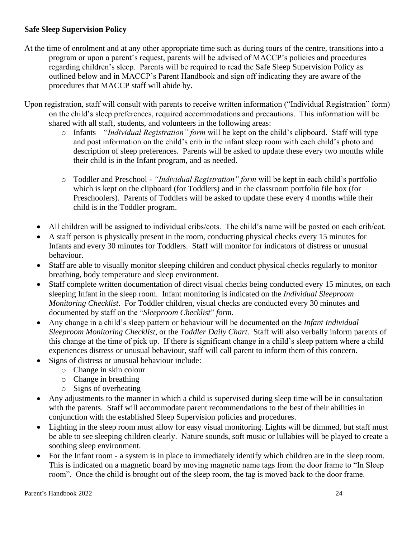# **Safe Sleep Supervision Policy**

- At the time of enrolment and at any other appropriate time such as during tours of the centre, transitions into a program or upon a parent's request, parents will be advised of MACCP's policies and procedures regarding children's sleep. Parents will be required to read the Safe Sleep Supervision Policy as outlined below and in MACCP's Parent Handbook and sign off indicating they are aware of the procedures that MACCP staff will abide by.
- Upon registration, staff will consult with parents to receive written information ("Individual Registration" form) on the child's sleep preferences, required accommodations and precautions. This information will be shared with all staff, students, and volunteers in the following areas:
	- o Infants "*Individual Registration" form* will be kept on the child's clipboard. Staff will type and post information on the child's crib in the infant sleep room with each child's photo and description of sleep preferences. Parents will be asked to update these every two months while their child is in the Infant program, and as needed.
	- o Toddler and Preschool *"Individual Registration" form* will be kept in each child's portfolio which is kept on the clipboard (for Toddlers) and in the classroom portfolio file box (for Preschoolers). Parents of Toddlers will be asked to update these every 4 months while their child is in the Toddler program.
	- All children will be assigned to individual cribs/cots. The child's name will be posted on each crib/cot.
	- A staff person is physically present in the room, conducting physical checks every 15 minutes for Infants and every 30 minutes for Toddlers. Staff will monitor for indicators of distress or unusual behaviour.
	- Staff are able to visually monitor sleeping children and conduct physical checks regularly to monitor breathing, body temperature and sleep environment.
	- Staff complete written documentation of direct visual checks being conducted every 15 minutes, on each sleeping Infant in the sleep room. Infant monitoring is indicated on the *Individual Sleeproom Monitoring Checklist*. For Toddler children, visual checks are conducted every 30 minutes and documented by staff on the "*Sleeproom Checklist*" *form*.
	- Any change in a child's sleep pattern or behaviour will be documented on the *Infant Individual Sleeproom Monitoring Checklist*, or the *Toddler Daily Chart*. Staff will also verbally inform parents of this change at the time of pick up. If there is significant change in a child's sleep pattern where a child experiences distress or unusual behaviour, staff will call parent to inform them of this concern.
	- Signs of distress or unusual behaviour include:
		- o Change in skin colour
		- o Change in breathing
		- o Signs of overheating
	- Any adjustments to the manner in which a child is supervised during sleep time will be in consultation with the parents. Staff will accommodate parent recommendations to the best of their abilities in conjunction with the established Sleep Supervision policies and procedures.
	- Lighting in the sleep room must allow for easy visual monitoring. Lights will be dimmed, but staff must be able to see sleeping children clearly. Nature sounds, soft music or lullabies will be played to create a soothing sleep environment.
	- For the Infant room a system is in place to immediately identify which children are in the sleep room. This is indicated on a magnetic board by moving magnetic name tags from the door frame to "In Sleep room". Once the child is brought out of the sleep room, the tag is moved back to the door frame.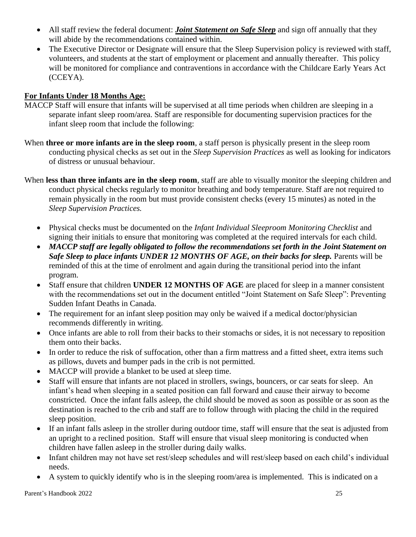- All staff review the federal document: *Joint Statement on Safe Sleep* and sign off annually that they will abide by the recommendations contained within.
- The Executive Director or Designate will ensure that the Sleep Supervision policy is reviewed with staff, volunteers, and students at the start of employment or placement and annually thereafter. This policy will be monitored for compliance and contraventions in accordance with the Childcare Early Years Act (CCEYA).

# **For Infants Under 18 Months Age:**

- MACCP Staff will ensure that infants will be supervised at all time periods when children are sleeping in a separate infant sleep room/area. Staff are responsible for documenting supervision practices for the infant sleep room that include the following:
- When **three or more infants are in the sleep room**, a staff person is physically present in the sleep room conducting physical checks as set out in the *Sleep Supervision Practices* as well as looking for indicators of distress or unusual behaviour.
- When **less than three infants are in the sleep room**, staff are able to visually monitor the sleeping children and conduct physical checks regularly to monitor breathing and body temperature. Staff are not required to remain physically in the room but must provide consistent checks (every 15 minutes) as noted in the *Sleep Supervision Practices.*
	- Physical checks must be documented on the *Infant Individual Sleeproom Monitoring Checklist* and signing their initials to ensure that monitoring was completed at the required intervals for each child.
	- *MACCP staff are legally obligated to follow the recommendations set forth in the Joint Statement on Safe Sleep to place infants UNDER 12 MONTHS OF AGE, on their backs for sleep.* Parents will be reminded of this at the time of enrolment and again during the transitional period into the infant program.
	- Staff ensure that children **UNDER 12 MONTHS OF AGE** are placed for sleep in a manner consistent with the recommendations set out in the document entitled "Joint Statement on Safe Sleep": Preventing Sudden Infant Deaths in Canada.
	- The requirement for an infant sleep position may only be waived if a medical doctor/physician recommends differently in writing.
	- Once infants are able to roll from their backs to their stomachs or sides, it is not necessary to reposition them onto their backs.
	- In order to reduce the risk of suffocation, other than a firm mattress and a fitted sheet, extra items such as pillows, duvets and bumper pads in the crib is not permitted.
	- MACCP will provide a blanket to be used at sleep time.
	- Staff will ensure that infants are not placed in strollers, swings, bouncers, or car seats for sleep. An infant's head when sleeping in a seated position can fall forward and cause their airway to become constricted. Once the infant falls asleep, the child should be moved as soon as possible or as soon as the destination is reached to the crib and staff are to follow through with placing the child in the required sleep position.
	- If an infant falls asleep in the stroller during outdoor time, staff will ensure that the seat is adjusted from an upright to a reclined position. Staff will ensure that visual sleep monitoring is conducted when children have fallen asleep in the stroller during daily walks.
	- Infant children may not have set rest/sleep schedules and will rest/sleep based on each child's individual needs.
	- A system to quickly identify who is in the sleeping room/area is implemented. This is indicated on a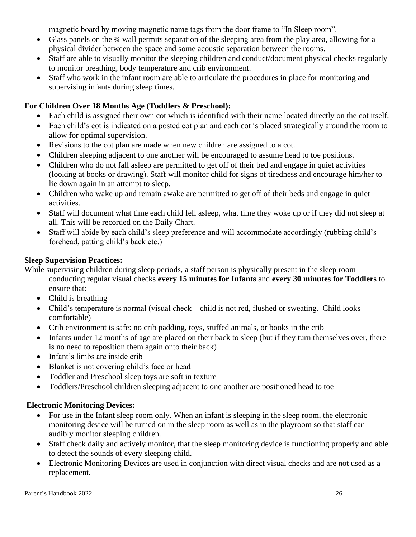magnetic board by moving magnetic name tags from the door frame to "In Sleep room".

- Glass panels on the <sup>3</sup>/4 wall permits separation of the sleeping area from the play area, allowing for a physical divider between the space and some acoustic separation between the rooms.
- Staff are able to visually monitor the sleeping children and conduct/document physical checks regularly to monitor breathing, body temperature and crib environment.
- Staff who work in the infant room are able to articulate the procedures in place for monitoring and supervising infants during sleep times.

# **For Children Over 18 Months Age (Toddlers & Preschool):**

- Each child is assigned their own cot which is identified with their name located directly on the cot itself.
- Each child's cot is indicated on a posted cot plan and each cot is placed strategically around the room to allow for optimal supervision.
- Revisions to the cot plan are made when new children are assigned to a cot.
- Children sleeping adjacent to one another will be encouraged to assume head to toe positions.
- Children who do not fall asleep are permitted to get off of their bed and engage in quiet activities (looking at books or drawing). Staff will monitor child for signs of tiredness and encourage him/her to lie down again in an attempt to sleep.
- Children who wake up and remain awake are permitted to get off of their beds and engage in quiet activities.
- Staff will document what time each child fell asleep, what time they woke up or if they did not sleep at all. This will be recorded on the Daily Chart.
- Staff will abide by each child's sleep preference and will accommodate accordingly (rubbing child's forehead, patting child's back etc.)

# **Sleep Supervision Practices:**

While supervising children during sleep periods, a staff person is physically present in the sleep room conducting regular visual checks **every 15 minutes for Infants** and **every 30 minutes for Toddlers** to ensure that:

- Child is breathing
- Child's temperature is normal (visual check child is not red, flushed or sweating. Child looks comfortable)
- Crib environment is safe: no crib padding, toys, stuffed animals, or books in the crib
- Infants under 12 months of age are placed on their back to sleep (but if they turn themselves over, there is no need to reposition them again onto their back)
- Infant's limbs are inside crib
- Blanket is not covering child's face or head
- Toddler and Preschool sleep toys are soft in texture
- Toddlers/Preschool children sleeping adjacent to one another are positioned head to toe

# **Electronic Monitoring Devices:**

- For use in the Infant sleep room only. When an infant is sleeping in the sleep room, the electronic monitoring device will be turned on in the sleep room as well as in the playroom so that staff can audibly monitor sleeping children.
- Staff check daily and actively monitor, that the sleep monitoring device is functioning properly and able to detect the sounds of every sleeping child.
- Electronic Monitoring Devices are used in conjunction with direct visual checks and are not used as a replacement.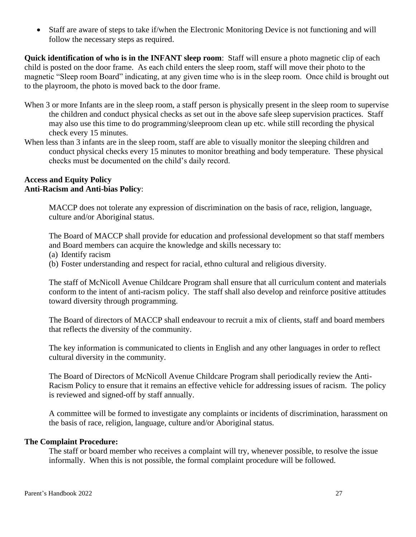• Staff are aware of steps to take if/when the Electronic Monitoring Device is not functioning and will follow the necessary steps as required.

**Quick identification of who is in the INFANT sleep room**: Staff will ensure a photo magnetic clip of each child is posted on the door frame. As each child enters the sleep room, staff will move their photo to the magnetic "Sleep room Board" indicating, at any given time who is in the sleep room. Once child is brought out to the playroom, the photo is moved back to the door frame.

- When 3 or more Infants are in the sleep room, a staff person is physically present in the sleep room to supervise the children and conduct physical checks as set out in the above safe sleep supervision practices. Staff may also use this time to do programming/sleeproom clean up etc. while still recording the physical check every 15 minutes.
- When less than 3 infants are in the sleep room, staff are able to visually monitor the sleeping children and conduct physical checks every 15 minutes to monitor breathing and body temperature. These physical checks must be documented on the child's daily record.

#### <span id="page-30-1"></span><span id="page-30-0"></span>**Access and Equity Policy Anti-Racism and Anti-bias Policy**:

MACCP does not tolerate any expression of discrimination on the basis of race, religion, language, culture and/or Aboriginal status.

The Board of MACCP shall provide for education and professional development so that staff members and Board members can acquire the knowledge and skills necessary to:

(a) Identify racism

(b) Foster understanding and respect for racial, ethno cultural and religious diversity.

The staff of McNicoll Avenue Childcare Program shall ensure that all curriculum content and materials conform to the intent of anti-racism policy. The staff shall also develop and reinforce positive attitudes toward diversity through programming.

The Board of directors of MACCP shall endeavour to recruit a mix of clients, staff and board members that reflects the diversity of the community.

The key information is communicated to clients in English and any other languages in order to reflect cultural diversity in the community.

The Board of Directors of McNicoll Avenue Childcare Program shall periodically review the Anti-Racism Policy to ensure that it remains an effective vehicle for addressing issues of racism. The policy is reviewed and signed-off by staff annually.

A committee will be formed to investigate any complaints or incidents of discrimination, harassment on the basis of race, religion, language, culture and/or Aboriginal status.

#### <span id="page-30-2"></span>**The Complaint Procedure:**

The staff or board member who receives a complaint will try, whenever possible, to resolve the issue informally. When this is not possible, the formal complaint procedure will be followed.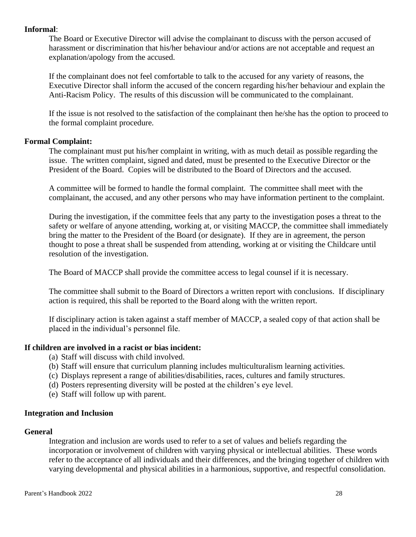#### <span id="page-31-0"></span>**Informal**:

The Board or Executive Director will advise the complainant to discuss with the person accused of harassment or discrimination that his/her behaviour and/or actions are not acceptable and request an explanation/apology from the accused.

If the complainant does not feel comfortable to talk to the accused for any variety of reasons, the Executive Director shall inform the accused of the concern regarding his/her behaviour and explain the Anti-Racism Policy. The results of this discussion will be communicated to the complainant.

If the issue is not resolved to the satisfaction of the complainant then he/she has the option to proceed to the formal complaint procedure.

### <span id="page-31-1"></span>**Formal Complaint:**

The complainant must put his/her complaint in writing, with as much detail as possible regarding the issue. The written complaint, signed and dated, must be presented to the Executive Director or the President of the Board. Copies will be distributed to the Board of Directors and the accused.

A committee will be formed to handle the formal complaint. The committee shall meet with the complainant, the accused, and any other persons who may have information pertinent to the complaint.

During the investigation, if the committee feels that any party to the investigation poses a threat to the safety or welfare of anyone attending, working at, or visiting MACCP, the committee shall immediately bring the matter to the President of the Board (or designate). If they are in agreement, the person thought to pose a threat shall be suspended from attending, working at or visiting the Childcare until resolution of the investigation.

The Board of MACCP shall provide the committee access to legal counsel if it is necessary.

The committee shall submit to the Board of Directors a written report with conclusions. If disciplinary action is required, this shall be reported to the Board along with the written report.

If disciplinary action is taken against a staff member of MACCP, a sealed copy of that action shall be placed in the individual's personnel file.

#### <span id="page-31-2"></span>**If children are involved in a racist or bias incident:**

- (a) Staff will discuss with child involved.
- (b) Staff will ensure that curriculum planning includes multiculturalism learning activities.
- (c) Displays represent a range of abilities/disabilities, races, cultures and family structures.
- (d) Posters representing diversity will be posted at the children's eye level.
- (e) Staff will follow up with parent.

#### <span id="page-31-3"></span>**Integration and Inclusion**

#### <span id="page-31-4"></span>**General**

Integration and inclusion are words used to refer to a set of values and beliefs regarding the incorporation or involvement of children with varying physical or intellectual abilities. These words refer to the acceptance of all individuals and their differences, and the bringing together of children with varying developmental and physical abilities in a harmonious, supportive, and respectful consolidation.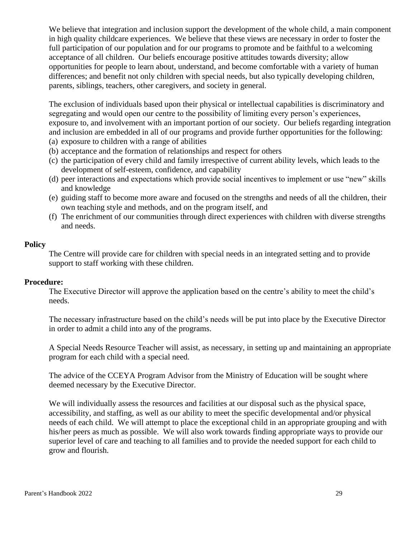We believe that integration and inclusion support the development of the whole child, a main component in high quality childcare experiences. We believe that these views are necessary in order to foster the full participation of our population and for our programs to promote and be faithful to a welcoming acceptance of all children. Our beliefs encourage positive attitudes towards diversity; allow opportunities for people to learn about, understand, and become comfortable with a variety of human differences; and benefit not only children with special needs, but also typically developing children, parents, siblings, teachers, other caregivers, and society in general.

The exclusion of individuals based upon their physical or intellectual capabilities is discriminatory and segregating and would open our centre to the possibility of limiting every person's experiences, exposure to, and involvement with an important portion of our society. Our beliefs regarding integration and inclusion are embedded in all of our programs and provide further opportunities for the following:

- (a) exposure to children with a range of abilities
- (b) acceptance and the formation of relationships and respect for others
- (c) the participation of every child and family irrespective of current ability levels, which leads to the development of self-esteem, confidence, and capability
- (d) peer interactions and expectations which provide social incentives to implement or use "new" skills and knowledge
- (e) guiding staff to become more aware and focused on the strengths and needs of all the children, their own teaching style and methods, and on the program itself, and
- (f) The enrichment of our communities through direct experiences with children with diverse strengths and needs.

#### <span id="page-32-0"></span>**Policy**

The Centre will provide care for children with special needs in an integrated setting and to provide support to staff working with these children.

#### <span id="page-32-1"></span>**Procedure:**

The Executive Director will approve the application based on the centre's ability to meet the child's needs.

The necessary infrastructure based on the child's needs will be put into place by the Executive Director in order to admit a child into any of the programs.

A Special Needs Resource Teacher will assist, as necessary, in setting up and maintaining an appropriate program for each child with a special need.

The advice of the CCEYA Program Advisor from the Ministry of Education will be sought where deemed necessary by the Executive Director.

We will individually assess the resources and facilities at our disposal such as the physical space, accessibility, and staffing, as well as our ability to meet the specific developmental and/or physical needs of each child. We will attempt to place the exceptional child in an appropriate grouping and with his/her peers as much as possible. We will also work towards finding appropriate ways to provide our superior level of care and teaching to all families and to provide the needed support for each child to grow and flourish.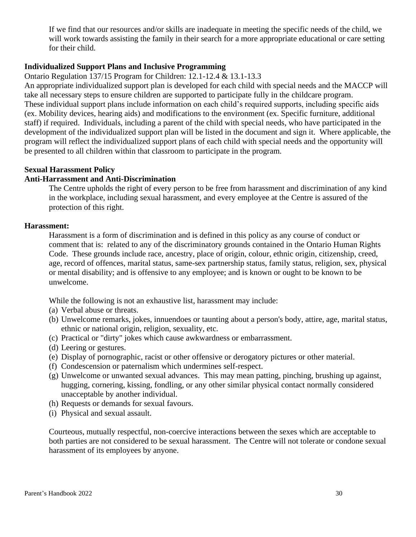If we find that our resources and/or skills are inadequate in meeting the specific needs of the child, we will work towards assisting the family in their search for a more appropriate educational or care setting for their child.

### <span id="page-33-0"></span>**Individualized Support Plans and Inclusive Programming**

Ontario Regulation 137/15 Program for Children: 12.1-12.4 & 13.1-13.3

An appropriate individualized support plan is developed for each child with special needs and the MACCP will take all necessary steps to ensure children are supported to participate fully in the childcare program. These individual support plans include information on each child's required supports, including specific aids (ex. Mobility devices, hearing aids) and modifications to the environment (ex. Specific furniture, additional staff) if required. Individuals, including a parent of the child with special needs, who have participated in the development of the individualized support plan will be listed in the document and sign it. Where applicable, the program will reflect the individualized support plans of each child with special needs and the opportunity will be presented to all children within that classroom to participate in the program.

#### <span id="page-33-1"></span>**Sexual Harassment Policy**

#### <span id="page-33-2"></span>**Anti-Harrassment and Anti-Discrimination**

The Centre upholds the right of every person to be free from harassment and discrimination of any kind in the workplace, including sexual harassment, and every employee at the Centre is assured of the protection of this right.

#### <span id="page-33-3"></span>**Harassment:**

Harassment is a form of discrimination and is defined in this policy as any course of conduct or comment that is: related to any of the discriminatory grounds contained in the Ontario Human Rights Code. These grounds include race, ancestry, place of origin, colour, ethnic origin, citizenship, creed, age, record of offences, marital status, same-sex partnership status, family status, religion, sex, physical or mental disability; and is offensive to any employee; and is known or ought to be known to be unwelcome.

While the following is not an exhaustive list, harassment may include:

(a) Verbal abuse or threats.

- (b) Unwelcome remarks, jokes, innuendoes or taunting about a person's body, attire, age, marital status, ethnic or national origin, religion, sexuality, etc.
- (c) Practical or "dirty" jokes which cause awkwardness or embarrassment.
- (d) Leering or gestures.
- (e) Display of pornographic, racist or other offensive or derogatory pictures or other material.
- (f) Condescension or paternalism which undermines self-respect.
- (g) Unwelcome or unwanted sexual advances. This may mean patting, pinching, brushing up against, hugging, cornering, kissing, fondling, or any other similar physical contact normally considered unacceptable by another individual.
- (h) Requests or demands for sexual favours.
- (i) Physical and sexual assault.

Courteous, mutually respectful, non-coercive interactions between the sexes which are acceptable to both parties are not considered to be sexual harassment. The Centre will not tolerate or condone sexual harassment of its employees by anyone.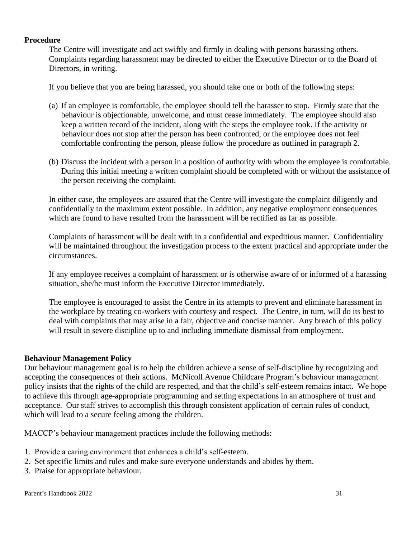#### <span id="page-34-0"></span>**Procedure**

The Centre will investigate and act swiftly and firmly in dealing with persons harassing others. Complaints regarding harassment may be directed to either the Executive Director or to the Board of Directors, in writing.

If you believe that you are being harassed, you should take one or both of the following steps:

- (a) If an employee is comfortable, the employee should tell the harasser to stop. Firmly state that the behaviour is objectionable, unwelcome, and must cease immediately. The employee should also keep a written record of the incident, along with the steps the employee took. If the activity or behaviour does not stop after the person has been confronted, or the employee does not feel comfortable confronting the person, please follow the procedure as outlined in paragraph 2.
- (b) Discuss the incident with a person in a position of authority with whom the employee is comfortable. During this initial meeting a written complaint should be completed with or without the assistance of the person receiving the complaint.

In either case, the employees are assured that the Centre will investigate the complaint diligently and confidentially to the maximum extent possible. In addition, any negative employment consequences which are found to have resulted from the harassment will be rectified as far as possible.

Complaints of harassment will be dealt with in a confidential and expeditious manner. Confidentiality will be maintained throughout the investigation process to the extent practical and appropriate under the circumstances.

If any employee receives a complaint of harassment or is otherwise aware of or informed of a harassing situation, she/he must inform the Executive Director immediately.

The employee is encouraged to assist the Centre in its attempts to prevent and eliminate harassment in the workplace by treating co-workers with courtesy and respect. The Centre, in turn, will do its best to deal with complaints that may arise in a fair, objective and concise manner. Any breach of this policy will result in severe discipline up to and including immediate dismissal from employment.

#### <span id="page-34-1"></span>**Behaviour Management Policy**

Our behaviour management goal is to help the children achieve a sense of self-discipline by recognizing and accepting the consequences of their actions. McNicoll Avenue Childcare Program's behaviour management policy insists that the rights of the child are respected, and that the child's self-esteem remains intact. We hope to achieve this through age-appropriate programming and setting expectations in an atmosphere of trust and acceptance. Our staff strives to accomplish this through consistent application of certain rules of conduct, which will lead to a secure feeling among the children.

MACCP's behaviour management practices include the following methods:

- 1. Provide a caring environment that enhances a child's self-esteem.
- 2. Set specific limits and rules and make sure everyone understands and abides by them.
- 3. Praise for appropriate behaviour.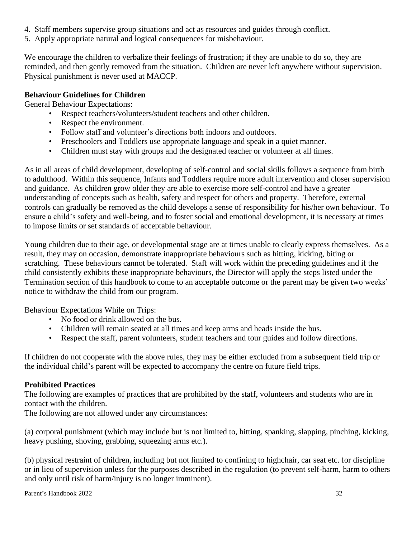- 4. Staff members supervise group situations and act as resources and guides through conflict.
- 5. Apply appropriate natural and logical consequences for misbehaviour.

We encourage the children to verbalize their feelings of frustration; if they are unable to do so, they are reminded, and then gently removed from the situation. Children are never left anywhere without supervision. Physical punishment is never used at MACCP.

# <span id="page-35-0"></span>**Behaviour Guidelines for Children**

General Behaviour Expectations:

- Respect teachers/volunteers/student teachers and other children.
- Respect the environment.
- Follow staff and volunteer's directions both indoors and outdoors.
- Preschoolers and Toddlers use appropriate language and speak in a quiet manner.
- Children must stay with groups and the designated teacher or volunteer at all times.

As in all areas of child development, developing of self-control and social skills follows a sequence from birth to adulthood. Within this sequence, Infants and Toddlers require more adult intervention and closer supervision and guidance. As children grow older they are able to exercise more self-control and have a greater understanding of concepts such as health, safety and respect for others and property. Therefore, external controls can gradually be removed as the child develops a sense of responsibility for his/her own behaviour. To ensure a child's safety and well-being, and to foster social and emotional development, it is necessary at times to impose limits or set standards of acceptable behaviour.

Young children due to their age, or developmental stage are at times unable to clearly express themselves. As a result, they may on occasion, demonstrate inappropriate behaviours such as hitting, kicking, biting or scratching. These behaviours cannot be tolerated. Staff will work within the preceding guidelines and if the child consistently exhibits these inappropriate behaviours, the Director will apply the steps listed under the Termination section of this handbook to come to an acceptable outcome or the parent may be given two weeks' notice to withdraw the child from our program.

Behaviour Expectations While on Trips:

- No food or drink allowed on the bus.
- Children will remain seated at all times and keep arms and heads inside the bus.
- Respect the staff, parent volunteers, student teachers and tour guides and follow directions.

If children do not cooperate with the above rules, they may be either excluded from a subsequent field trip or the individual child's parent will be expected to accompany the centre on future field trips.

# <span id="page-35-1"></span>**Prohibited Practices**

The following are examples of practices that are prohibited by the staff, volunteers and students who are in contact with the children.

The following are not allowed under any circumstances:

(a) corporal punishment (which may include but is not limited to, hitting, spanking, slapping, pinching, kicking, heavy pushing, shoving, grabbing, squeezing arms etc.).

(b) physical restraint of children, including but not limited to confining to highchair, car seat etc. for discipline or in lieu of supervision unless for the purposes described in the regulation (to prevent self-harm, harm to others and only until risk of harm/injury is no longer imminent).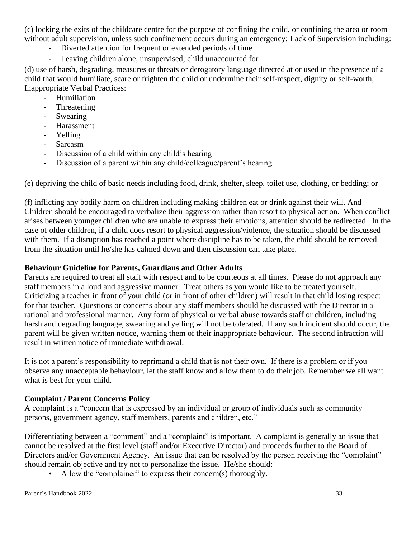(c) locking the exits of the childcare centre for the purpose of confining the child, or confining the area or room without adult supervision, unless such confinement occurs during an emergency; Lack of Supervision including:

- Diverted attention for frequent or extended periods of time
- Leaving children alone, unsupervised; child unaccounted for

(d) use of harsh, degrading, measures or threats or derogatory language directed at or used in the presence of a child that would humiliate, scare or frighten the child or undermine their self-respect, dignity or self-worth, Inappropriate Verbal Practices:

- Humiliation
- **Threatening**
- Swearing
- Harassment
- Yelling
- Sarcasm
- Discussion of a child within any child's hearing
- Discussion of a parent within any child/colleague/parent's hearing

(e) depriving the child of basic needs including food, drink, shelter, sleep, toilet use, clothing, or bedding; or

(f) inflicting any bodily harm on children including making children eat or drink against their will. And Children should be encouraged to verbalize their aggression rather than resort to physical action. When conflict arises between younger children who are unable to express their emotions, attention should be redirected. In the case of older children, if a child does resort to physical aggression/violence, the situation should be discussed with them. If a disruption has reached a point where discipline has to be taken, the child should be removed from the situation until he/she has calmed down and then discussion can take place.

#### <span id="page-36-0"></span>**Behaviour Guideline for Parents, Guardians and Other Adults**

Parents are required to treat all staff with respect and to be courteous at all times. Please do not approach any staff members in a loud and aggressive manner. Treat others as you would like to be treated yourself. Criticizing a teacher in front of your child (or in front of other children) will result in that child losing respect for that teacher. Questions or concerns about any staff members should be discussed with the Director in a rational and professional manner. Any form of physical or verbal abuse towards staff or children, including harsh and degrading language, swearing and yelling will not be tolerated. If any such incident should occur, the parent will be given written notice, warning them of their inappropriate behaviour. The second infraction will result in written notice of immediate withdrawal.

It is not a parent's responsibility to reprimand a child that is not their own. If there is a problem or if you observe any unacceptable behaviour, let the staff know and allow them to do their job. Remember we all want what is best for your child.

#### <span id="page-36-1"></span>**Complaint / Parent Concerns Policy**

A complaint is a "concern that is expressed by an individual or group of individuals such as community persons, government agency, staff members, parents and children, etc."

Differentiating between a "comment" and a "complaint" is important. A complaint is generally an issue that cannot be resolved at the first level (staff and/or Executive Director) and proceeds further to the Board of Directors and/or Government Agency. An issue that can be resolved by the person receiving the "complaint" should remain objective and try not to personalize the issue. He/she should:

Allow the "complainer" to express their concern(s) thoroughly.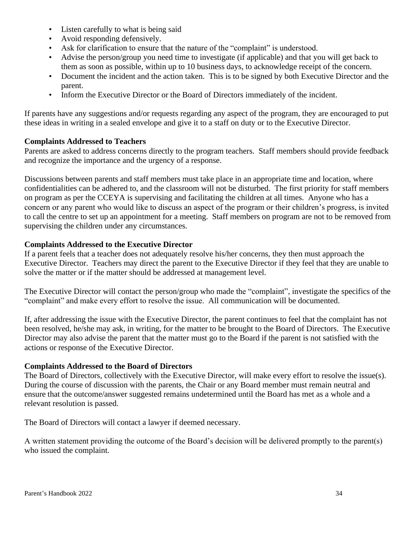- Listen carefully to what is being said
- Avoid responding defensively.
- Ask for clarification to ensure that the nature of the "complaint" is understood.
- Advise the person/group you need time to investigate (if applicable) and that you will get back to them as soon as possible, within up to 10 business days, to acknowledge receipt of the concern.
- Document the incident and the action taken. This is to be signed by both Executive Director and the parent.
- Inform the Executive Director or the Board of Directors immediately of the incident.

If parents have any suggestions and/or requests regarding any aspect of the program, they are encouraged to put these ideas in writing in a sealed envelope and give it to a staff on duty or to the Executive Director.

# <span id="page-37-0"></span>**Complaints Addressed to Teachers**

Parents are asked to address concerns directly to the program teachers. Staff members should provide feedback and recognize the importance and the urgency of a response.

Discussions between parents and staff members must take place in an appropriate time and location, where confidentialities can be adhered to, and the classroom will not be disturbed. The first priority for staff members on program as per the CCEYA is supervising and facilitating the children at all times. Anyone who has a concern or any parent who would like to discuss an aspect of the program or their children's progress, is invited to call the centre to set up an appointment for a meeting. Staff members on program are not to be removed from supervising the children under any circumstances.

### <span id="page-37-1"></span>**Complaints Addressed to the Executive Director**

If a parent feels that a teacher does not adequately resolve his/her concerns, they then must approach the Executive Director. Teachers may direct the parent to the Executive Director if they feel that they are unable to solve the matter or if the matter should be addressed at management level.

The Executive Director will contact the person/group who made the "complaint", investigate the specifics of the "complaint" and make every effort to resolve the issue. All communication will be documented.

If, after addressing the issue with the Executive Director, the parent continues to feel that the complaint has not been resolved, he/she may ask, in writing, for the matter to be brought to the Board of Directors. The Executive Director may also advise the parent that the matter must go to the Board if the parent is not satisfied with the actions or response of the Executive Director.

# <span id="page-37-2"></span>**Complaints Addressed to the Board of Directors**

The Board of Directors, collectively with the Executive Director, will make every effort to resolve the issue(s). During the course of discussion with the parents, the Chair or any Board member must remain neutral and ensure that the outcome/answer suggested remains undetermined until the Board has met as a whole and a relevant resolution is passed.

The Board of Directors will contact a lawyer if deemed necessary.

A written statement providing the outcome of the Board's decision will be delivered promptly to the parent(s) who issued the complaint.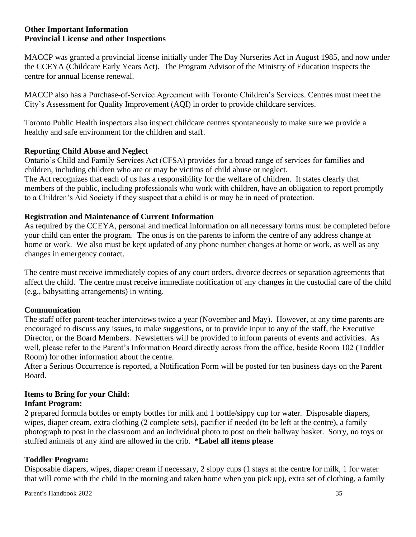### <span id="page-38-1"></span><span id="page-38-0"></span>**Other Important Information Provincial License and other Inspections**

MACCP was granted a provincial license initially under The Day Nurseries Act in August 1985, and now under the CCEYA (Childcare Early Years Act). The Program Advisor of the Ministry of Education inspects the centre for annual license renewal.

MACCP also has a Purchase-of-Service Agreement with Toronto Children's Services. Centres must meet the City's Assessment for Quality Improvement (AQI) in order to provide childcare services.

Toronto Public Health inspectors also inspect childcare centres spontaneously to make sure we provide a healthy and safe environment for the children and staff.

# <span id="page-38-2"></span>**Reporting Child Abuse and Neglect**

Ontario's Child and Family Services Act (CFSA) provides for a broad range of services for families and children, including children who are or may be victims of child abuse or neglect.

The Act recognizes that each of us has a responsibility for the welfare of children. It states clearly that members of the public, including professionals who work with children, have an obligation to report promptly to a Children's Aid Society if they suspect that a child is or may be in need of protection.

### <span id="page-38-3"></span>**Registration and Maintenance of Current Information**

As required by the CCEYA, personal and medical information on all necessary forms must be completed before your child can enter the program. The onus is on the parents to inform the centre of any address change at home or work. We also must be kept updated of any phone number changes at home or work, as well as any changes in emergency contact.

The centre must receive immediately copies of any court orders, divorce decrees or separation agreements that affect the child. The centre must receive immediate notification of any changes in the custodial care of the child (e.g., babysitting arrangements) in writing.

#### <span id="page-38-4"></span>**Communication**

The staff offer parent-teacher interviews twice a year (November and May). However, at any time parents are encouraged to discuss any issues, to make suggestions, or to provide input to any of the staff, the Executive Director, or the Board Members. Newsletters will be provided to inform parents of events and activities. As well, please refer to the Parent's Information Board directly across from the office, beside Room 102 (Toddler Room) for other information about the centre.

After a Serious Occurrence is reported, a Notification Form will be posted for ten business days on the Parent Board.

# <span id="page-38-5"></span>**Items to Bring for your Child:**

# **Infant Program:**

2 prepared formula bottles or empty bottles for milk and 1 bottle/sippy cup for water. Disposable diapers, wipes, diaper cream, extra clothing (2 complete sets), pacifier if needed (to be left at the centre), a family photograph to post in the classroom and an individual photo to post on their hallway basket. Sorry, no toys or stuffed animals of any kind are allowed in the crib. **\*Label all items please**

# **Toddler Program:**

Disposable diapers, wipes, diaper cream if necessary, 2 sippy cups (1 stays at the centre for milk, 1 for water that will come with the child in the morning and taken home when you pick up), extra set of clothing, a family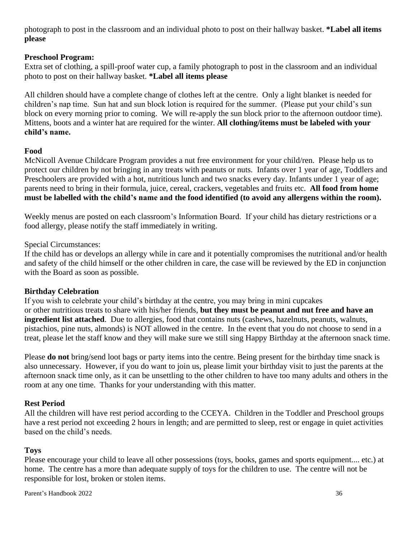photograph to post in the classroom and an individual photo to post on their hallway basket. **\*Label all items please**

# **Preschool Program:**

Extra set of clothing, a spill-proof water cup, a family photograph to post in the classroom and an individual photo to post on their hallway basket. **\*Label all items please**

All children should have a complete change of clothes left at the centre. Only a light blanket is needed for children's nap time. Sun hat and sun block lotion is required for the summer. (Please put your child's sun block on every morning prior to coming. We will re-apply the sun block prior to the afternoon outdoor time). Mittens, boots and a winter hat are required for the winter. **All clothing/items must be labeled with your child's name.**

# <span id="page-39-0"></span>**Food**

McNicoll Avenue Childcare Program provides a nut free environment for your child/ren. Please help us to protect our children by not bringing in any treats with peanuts or nuts. Infants over 1 year of age, Toddlers and Preschoolers are provided with a hot, nutritious lunch and two snacks every day. Infants under 1 year of age; parents need to bring in their formula, juice, cereal, crackers, vegetables and fruits etc. **All food from home must be labelled with the child's name and the food identified (to avoid any allergens within the room).**

Weekly menus are posted on each classroom's Information Board. If your child has dietary restrictions or a food allergy, please notify the staff immediately in writing.

# Special Circumstances:

If the child has or develops an allergy while in care and it potentially compromises the nutritional and/or health and safety of the child himself or the other children in care, the case will be reviewed by the ED in conjunction with the Board as soon as possible.

# <span id="page-39-1"></span>**Birthday Celebration**

If you wish to celebrate your child's birthday at the centre, you may bring in mini cupcakes or other nutritious treats to share with his/her friends, **but they must be peanut and nut free and have an ingredient list attached**. Due to allergies, food that contains nuts (cashews, hazelnuts, peanuts, walnuts, pistachios, pine nuts, almonds) is NOT allowed in the centre. In the event that you do not choose to send in a treat, please let the staff know and they will make sure we still sing Happy Birthday at the afternoon snack time.

Please **do not** bring/send loot bags or party items into the centre. Being present for the birthday time snack is also unnecessary. However, if you do want to join us, please limit your birthday visit to just the parents at the afternoon snack time only, as it can be unsettling to the other children to have too many adults and others in the room at any one time. Thanks for your understanding with this matter.

# <span id="page-39-2"></span>**Rest Period**

All the children will have rest period according to the CCEYA. Children in the Toddler and Preschool groups have a rest period not exceeding 2 hours in length; and are permitted to sleep, rest or engage in quiet activities based on the child's needs.

# <span id="page-39-3"></span>**Toys**

Please encourage your child to leave all other possessions (toys, books, games and sports equipment.... etc.) at home. The centre has a more than adequate supply of toys for the children to use. The centre will not be responsible for lost, broken or stolen items.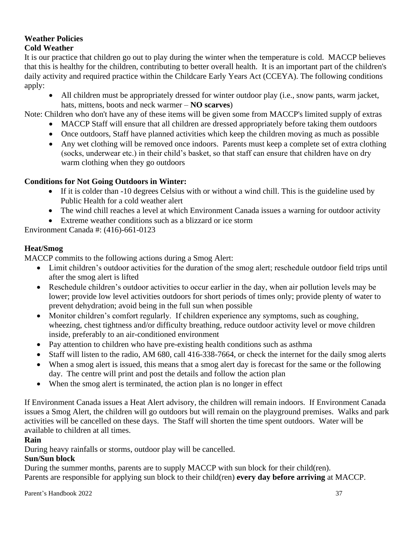### <span id="page-40-0"></span>**Weather Policies Cold Weather**

It is our practice that children go out to play during the winter when the temperature is cold. MACCP believes that this is healthy for the children, contributing to better overall health. It is an important part of the children's daily activity and required practice within the Childcare Early Years Act (CCEYA). The following conditions apply:

• All children must be appropriately dressed for winter outdoor play (i.e., snow pants, warm jacket, hats, mittens, boots and neck warmer – **NO scarves**)

Note: Children who don't have any of these items will be given some from MACCP's limited supply of extras

- MACCP Staff will ensure that all children are dressed appropriately before taking them outdoors
- Once outdoors, Staff have planned activities which keep the children moving as much as possible
- Any wet clothing will be removed once indoors. Parents must keep a complete set of extra clothing (socks, underwear etc.) in their child's basket, so that staff can ensure that children have on dry warm clothing when they go outdoors

# **Conditions for Not Going Outdoors in Winter:**

- If it is colder than -10 degrees Celsius with or without a wind chill. This is the guideline used by Public Health for a cold weather alert
- The wind chill reaches a level at which Environment Canada issues a warning for outdoor activity
- Extreme weather conditions such as a blizzard or ice storm

Environment Canada #: (416)-661-0123

# **Heat/Smog**

MACCP commits to the following actions during a Smog Alert:

- Limit children's outdoor activities for the duration of the smog alert; reschedule outdoor field trips until after the smog alert is lifted
- Reschedule children's outdoor activities to occur earlier in the day, when air pollution levels may be lower; provide low level activities outdoors for short periods of times only; provide plenty of water to prevent dehydration; avoid being in the full sun when possible
- Monitor children's comfort regularly. If children experience any symptoms, such as coughing, wheezing, chest tightness and/or difficulty breathing, reduce outdoor activity level or move children inside, preferably to an air-conditioned environment
- Pay attention to children who have pre-existing health conditions such as asthma
- Staff will listen to the radio, AM 680, call 416-338-7664, or check the internet for the daily smog alerts
- When a smog alert is issued, this means that a smog alert day is forecast for the same or the following day. The centre will print and post the details and follow the action plan
- When the smog alert is terminated, the action plan is no longer in effect

If Environment Canada issues a Heat Alert advisory, the children will remain indoors. If Environment Canada issues a Smog Alert, the children will go outdoors but will remain on the playground premises. Walks and park activities will be cancelled on these days. The Staff will shorten the time spent outdoors. Water will be available to children at all times.

# **Rain**

During heavy rainfalls or storms, outdoor play will be cancelled.

# **Sun/Sun block**

During the summer months, parents are to supply MACCP with sun block for their child(ren). Parents are responsible for applying sun block to their child(ren) **every day before arriving** at MACCP.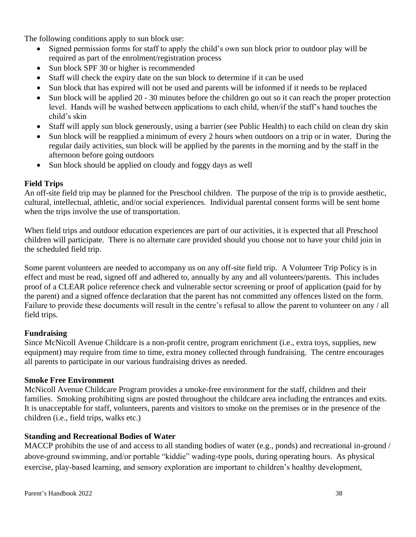The following conditions apply to sun block use:

- Signed permission forms for staff to apply the child's own sun block prior to outdoor play will be required as part of the enrolment/registration process
- Sun block SPF 30 or higher is recommended
- Staff will check the expiry date on the sun block to determine if it can be used
- Sun block that has expired will not be used and parents will be informed if it needs to be replaced
- Sun block will be applied 20 30 minutes before the children go out so it can reach the proper protection level. Hands will be washed between applications to each child, when/if the staff's hand touches the child's skin
- Staff will apply sun block generously, using a barrier (see Public Health) to each child on clean dry skin
- Sun block will be reapplied a minimum of every 2 hours when outdoors on a trip or in water. During the regular daily activities, sun block will be applied by the parents in the morning and by the staff in the afternoon before going outdoors
- Sun block should be applied on cloudy and foggy days as well

# <span id="page-41-0"></span>**Field Trips**

An off-site field trip may be planned for the Preschool children. The purpose of the trip is to provide aesthetic, cultural, intellectual, athletic, and/or social experiences. Individual parental consent forms will be sent home when the trips involve the use of transportation.

When field trips and outdoor education experiences are part of our activities, it is expected that all Preschool children will participate. There is no alternate care provided should you choose not to have your child join in the scheduled field trip.

Some parent volunteers are needed to accompany us on any off-site field trip. A Volunteer Trip Policy is in effect and must be read, signed off and adhered to, annually by any and all volunteers/parents. This includes proof of a CLEAR police reference check and vulnerable sector screening or proof of application (paid for by the parent) and a signed offence declaration that the parent has not committed any offences listed on the form. Failure to provide these documents will result in the centre's refusal to allow the parent to volunteer on any / all field trips.

# <span id="page-41-1"></span>**Fundraising**

Since McNicoll Avenue Childcare is a non-profit centre, program enrichment (i.e., extra toys, supplies, new equipment) may require from time to time, extra money collected through fundraising. The centre encourages all parents to participate in our various fundraising drives as needed.

# <span id="page-41-2"></span>**Smoke Free Environment**

McNicoll Avenue Childcare Program provides a smoke-free environment for the staff, children and their families. Smoking prohibiting signs are posted throughout the childcare area including the entrances and exits. It is unacceptable for staff, volunteers, parents and visitors to smoke on the premises or in the presence of the children (i.e., field trips, walks etc.)

# <span id="page-41-3"></span>**Standing and Recreational Bodies of Water**

MACCP prohibits the use of and access to all standing bodies of water (e.g., ponds) and recreational in-ground / above-ground swimming, and/or portable "kiddie" wading-type pools, during operating hours. As physical exercise, play-based learning, and sensory exploration are important to children's healthy development,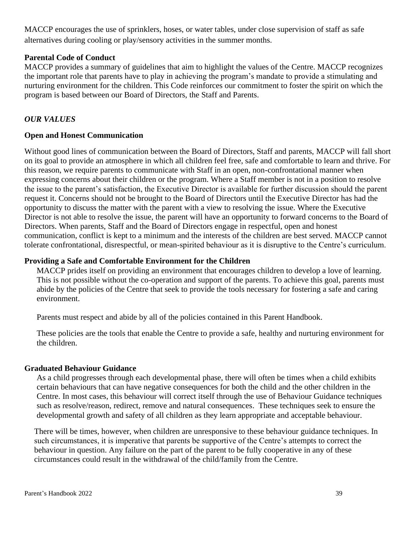MACCP encourages the use of sprinklers, hoses, or water tables, under close supervision of staff as safe alternatives during cooling or play/sensory activities in the summer months.

## <span id="page-42-0"></span>**Parental Code of Conduct**

MACCP provides a summary of guidelines that aim to highlight the values of the Centre. MACCP recognizes the important role that parents have to play in achieving the program's mandate to provide a stimulating and nurturing environment for the children. This Code reinforces our commitment to foster the spirit on which the program is based between our Board of Directors, the Staff and Parents.

# *OUR VALUES*

### **Open and Honest Communication**

Without good lines of communication between the Board of Directors, Staff and parents, MACCP will fall short on its goal to provide an atmosphere in which all children feel free, safe and comfortable to learn and thrive. For this reason, we require parents to communicate with Staff in an open, non-confrontational manner when expressing concerns about their children or the program. Where a Staff member is not in a position to resolve the issue to the parent's satisfaction, the Executive Director is available for further discussion should the parent request it. Concerns should not be brought to the Board of Directors until the Executive Director has had the opportunity to discuss the matter with the parent with a view to resolving the issue. Where the Executive Director is not able to resolve the issue, the parent will have an opportunity to forward concerns to the Board of Directors. When parents, Staff and the Board of Directors engage in respectful, open and honest communication, conflict is kept to a minimum and the interests of the children are best served. MACCP cannot tolerate confrontational, disrespectful, or mean-spirited behaviour as it is disruptive to the Centre's curriculum.

### **Providing a Safe and Comfortable Environment for the Children**

MACCP prides itself on providing an environment that encourages children to develop a love of learning. This is not possible without the co-operation and support of the parents. To achieve this goal, parents must abide by the policies of the Centre that seek to provide the tools necessary for fostering a safe and caring environment.

Parents must respect and abide by all of the policies contained in this Parent Handbook.

These policies are the tools that enable the Centre to provide a safe, healthy and nurturing environment for the children.

#### **Graduated Behaviour Guidance**

As a child progresses through each developmental phase, there will often be times when a child exhibits certain behaviours that can have negative consequences for both the child and the other children in the Centre. In most cases, this behaviour will correct itself through the use of Behaviour Guidance techniques such as resolve/reason, redirect, remove and natural consequences. These techniques seek to ensure the developmental growth and safety of all children as they learn appropriate and acceptable behaviour.

There will be times, however, when children are unresponsive to these behaviour guidance techniques. In such circumstances, it is imperative that parents be supportive of the Centre's attempts to correct the behaviour in question. Any failure on the part of the parent to be fully cooperative in any of these circumstances could result in the withdrawal of the child/family from the Centre.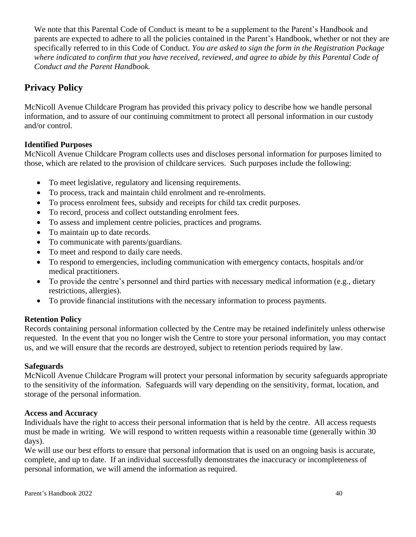We note that this Parental Code of Conduct is meant to be a supplement to the Parent's Handbook and parents are expected to adhere to all the policies contained in the Parent's Handbook, whether or not they are specifically referred to in this Code of Conduct. *You are asked to sign the form in the Registration Package where indicated to confirm that you have received, reviewed, and agree to abide by this Parental Code of Conduct and the Parent Handbook.*

# <span id="page-43-0"></span>**Privacy Policy**

McNicoll Avenue Childcare Program has provided this privacy policy to describe how we handle personal information, and to assure of our continuing commitment to protect all personal information in our custody and/or control.

# **Identified Purposes**

McNicoll Avenue Childcare Program collects uses and discloses personal information for purposes limited to those, which are related to the provision of childcare services. Such purposes include the following:

- To meet legislative, regulatory and licensing requirements.
- To process, track and maintain child enrolment and re-enrolments.
- To process enrolment fees, subsidy and receipts for child tax credit purposes.
- To record, process and collect outstanding enrolment fees.
- To assess and implement centre policies, practices and programs.
- To maintain up to date records.
- To communicate with parents/guardians.
- To meet and respond to daily care needs.
- To respond to emergencies, including communication with emergency contacts, hospitals and/or medical practitioners.
- To provide the centre's personnel and third parties with necessary medical information (e.g., dietary restrictions, allergies).
- To provide financial institutions with the necessary information to process payments.

# **Retention Policy**

Records containing personal information collected by the Centre may be retained indefinitely unless otherwise requested. In the event that you no longer wish the Centre to store your personal information, you may contact us, and we will ensure that the records are destroyed, subject to retention periods required by law.

# **Safeguards**

McNicoll Avenue Childcare Program will protect your personal information by security safeguards appropriate to the sensitivity of the information. Safeguards will vary depending on the sensitivity, format, location, and storage of the personal information.

# **Access and Accuracy**

Individuals have the right to access their personal information that is held by the centre. All access requests must be made in writing. We will respond to written requests within a reasonable time (generally within 30 days).

We will use our best efforts to ensure that personal information that is used on an ongoing basis is accurate, complete, and up to date. If an individual successfully demonstrates the inaccuracy or incompleteness of personal information, we will amend the information as required.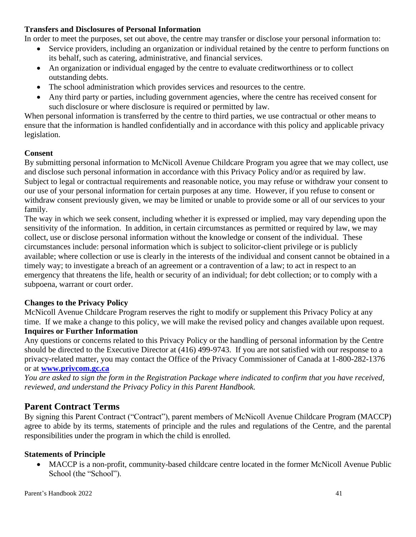# **Transfers and Disclosures of Personal Information**

In order to meet the purposes, set out above, the centre may transfer or disclose your personal information to:

- Service providers, including an organization or individual retained by the centre to perform functions on its behalf, such as catering, administrative, and financial services.
- An organization or individual engaged by the centre to evaluate creditworthiness or to collect outstanding debts.
- The school administration which provides services and resources to the centre.
- Any third party or parties, including government agencies, where the centre has received consent for such disclosure or where disclosure is required or permitted by law.

When personal information is transferred by the centre to third parties, we use contractual or other means to ensure that the information is handled confidentially and in accordance with this policy and applicable privacy legislation.

# **Consent**

By submitting personal information to McNicoll Avenue Childcare Program you agree that we may collect, use and disclose such personal information in accordance with this Privacy Policy and/or as required by law. Subject to legal or contractual requirements and reasonable notice, you may refuse or withdraw your consent to our use of your personal information for certain purposes at any time. However, if you refuse to consent or withdraw consent previously given, we may be limited or unable to provide some or all of our services to your family.

The way in which we seek consent, including whether it is expressed or implied, may vary depending upon the sensitivity of the information. In addition, in certain circumstances as permitted or required by law, we may collect, use or disclose personal information without the knowledge or consent of the individual. These circumstances include: personal information which is subject to solicitor-client privilege or is publicly available; where collection or use is clearly in the interests of the individual and consent cannot be obtained in a timely way; to investigate a breach of an agreement or a contravention of a law; to act in respect to an emergency that threatens the life, health or security of an individual; for debt collection; or to comply with a subpoena, warrant or court order.

# **Changes to the Privacy Policy**

McNicoll Avenue Childcare Program reserves the right to modify or supplement this Privacy Policy at any time. If we make a change to this policy, we will make the revised policy and changes available upon request. **Inquires or Further Information**

Any questions or concerns related to this Privacy Policy or the handling of personal information by the Centre should be directed to the Executive Director at (416) 499-9743. If you are not satisfied with our response to a privacy-related matter, you may contact the Office of the Privacy Commissioner of Canada at 1-800-282-1376

# or at **[www.privcom.gc.ca](http://www.privcom.gc.ca/)**

*You are asked to sign the form in the Registration Package where indicated to confirm that you have received, reviewed, and understand the Privacy Policy in this Parent Handbook.*

# <span id="page-44-0"></span>**Parent Contract Terms**

By signing this Parent Contract ("Contract"), parent members of McNicoll Avenue Childcare Program (MACCP) agree to abide by its terms, statements of principle and the rules and regulations of the Centre, and the parental responsibilities under the program in which the child is enrolled.

# **Statements of Principle**

• MACCP is a non-profit, community-based childcare centre located in the former McNicoll Avenue Public School (the "School").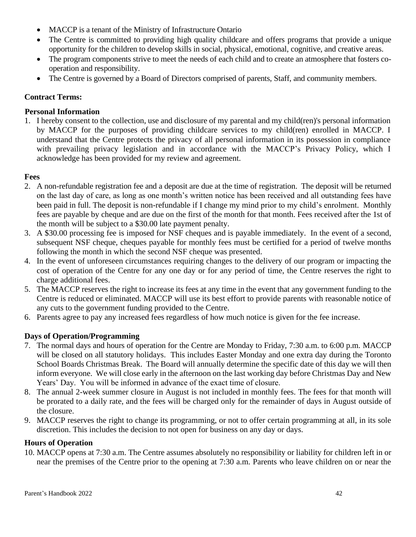- MACCP is a tenant of the Ministry of Infrastructure Ontario
- The Centre is committed to providing high quality childcare and offers programs that provide a unique opportunity for the children to develop skills in social, physical, emotional, cognitive, and creative areas.
- The program components strive to meet the needs of each child and to create an atmosphere that fosters cooperation and responsibility.
- The Centre is governed by a Board of Directors comprised of parents, Staff, and community members.

# **Contract Terms:**

# **Personal Information**

1. I hereby consent to the collection, use and disclosure of my parental and my child(ren)'s personal information by MACCP for the purposes of providing childcare services to my child(ren) enrolled in MACCP. I understand that the Centre protects the privacy of all personal information in its possession in compliance with prevailing privacy legislation and in accordance with the MACCP's Privacy Policy, which I acknowledge has been provided for my review and agreement.

# **Fees**

- 2. A non-refundable registration fee and a deposit are due at the time of registration. The deposit will be returned on the last day of care, as long as one month's written notice has been received and all outstanding fees have been paid in full. The deposit is non-refundable if I change my mind prior to my child's enrolment. Monthly fees are payable by cheque and are due on the first of the month for that month. Fees received after the 1st of the month will be subject to a \$30.00 late payment penalty.
- 3. A \$30.00 processing fee is imposed for NSF cheques and is payable immediately. In the event of a second, subsequent NSF cheque, cheques payable for monthly fees must be certified for a period of twelve months following the month in which the second NSF cheque was presented.
- 4. In the event of unforeseen circumstances requiring changes to the delivery of our program or impacting the cost of operation of the Centre for any one day or for any period of time, the Centre reserves the right to charge additional fees.
- 5. The MACCP reserves the right to increase its fees at any time in the event that any government funding to the Centre is reduced or eliminated. MACCP will use its best effort to provide parents with reasonable notice of any cuts to the government funding provided to the Centre.
- 6. Parents agree to pay any increased fees regardless of how much notice is given for the fee increase.

# **Days of Operation/Programming**

- 7. The normal days and hours of operation for the Centre are Monday to Friday, 7:30 a.m. to 6:00 p.m. MACCP will be closed on all statutory holidays. This includes Easter Monday and one extra day during the Toronto School Boards Christmas Break. The Board will annually determine the specific date of this day we will then inform everyone. We will close early in the afternoon on the last working day before Christmas Day and New Years' Day. You will be informed in advance of the exact time of closure.
- 8. The annual 2-week summer closure in August is not included in monthly fees. The fees for that month will be prorated to a daily rate, and the fees will be charged only for the remainder of days in August outside of the closure.
- 9. MACCP reserves the right to change its programming, or not to offer certain programming at all, in its sole discretion. This includes the decision to not open for business on any day or days.

# **Hours of Operation**

10. MACCP opens at 7:30 a.m. The Centre assumes absolutely no responsibility or liability for children left in or near the premises of the Centre prior to the opening at 7:30 a.m. Parents who leave children on or near the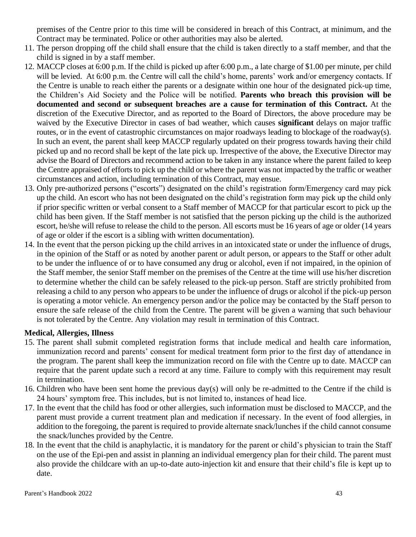premises of the Centre prior to this time will be considered in breach of this Contract, at minimum, and the Contract may be terminated. Police or other authorities may also be alerted.

- 11. The person dropping off the child shall ensure that the child is taken directly to a staff member, and that the child is signed in by a staff member.
- 12. MACCP closes at 6:00 p.m. If the child is picked up after 6:00 p.m., a late charge of \$1.00 per minute, per child will be levied. At 6:00 p.m. the Centre will call the child's home, parents' work and/or emergency contacts. If the Centre is unable to reach either the parents or a designate within one hour of the designated pick-up time, the Children's Aid Society and the Police will be notified. **Parents who breach this provision will be documented and second or subsequent breaches are a cause for termination of this Contract.** At the discretion of the Executive Director, and as reported to the Board of Directors, the above procedure may be waived by the Executive Director in cases of bad weather, which causes **significant** delays on major traffic routes, or in the event of catastrophic circumstances on major roadways leading to blockage of the roadway(s). In such an event, the parent shall keep MACCP regularly updated on their progress towards having their child picked up and no record shall be kept of the late pick up. Irrespective of the above, the Executive Director may advise the Board of Directors and recommend action to be taken in any instance where the parent failed to keep the Centre appraised of efforts to pick up the child or where the parent was not impacted by the traffic or weather circumstances and action, including termination of this Contract, may ensue.
- 13. Only pre-authorized persons ("escorts") designated on the child's registration form/Emergency card may pick up the child. An escort who has not been designated on the child's registration form may pick up the child only if prior specific written or verbal consent to a Staff member of MACCP for that particular escort to pick up the child has been given. If the Staff member is not satisfied that the person picking up the child is the authorized escort, he/she will refuse to release the child to the person. All escorts must be 16 years of age or older (14 years of age or older if the escort is a sibling with written documentation).
- 14. In the event that the person picking up the child arrives in an intoxicated state or under the influence of drugs, in the opinion of the Staff or as noted by another parent or adult person, or appears to the Staff or other adult to be under the influence of or to have consumed any drug or alcohol, even if not impaired, in the opinion of the Staff member, the senior Staff member on the premises of the Centre at the time will use his/her discretion to determine whether the child can be safely released to the pick-up person. Staff are strictly prohibited from releasing a child to any person who appears to be under the influence of drugs or alcohol if the pick-up person is operating a motor vehicle. An emergency person and/or the police may be contacted by the Staff person to ensure the safe release of the child from the Centre. The parent will be given a warning that such behaviour is not tolerated by the Centre. Any violation may result in termination of this Contract.

# **Medical, Allergies, Illness**

- 15. The parent shall submit completed registration forms that include medical and health care information, immunization record and parents' consent for medical treatment form prior to the first day of attendance in the program. The parent shall keep the immunization record on file with the Centre up to date. MACCP can require that the parent update such a record at any time. Failure to comply with this requirement may result in termination.
- 16. Children who have been sent home the previous day(s) will only be re-admitted to the Centre if the child is 24 hours' symptom free. This includes, but is not limited to, instances of head lice.
- 17. In the event that the child has food or other allergies, such information must be disclosed to MACCP, and the parent must provide a current treatment plan and medication if necessary. In the event of food allergies, in addition to the foregoing, the parent is required to provide alternate snack/lunches if the child cannot consume the snack/lunches provided by the Centre.
- 18. In the event that the child is anaphylactic, it is mandatory for the parent or child's physician to train the Staff on the use of the Epi-pen and assist in planning an individual emergency plan for their child. The parent must also provide the childcare with an up-to-date auto-injection kit and ensure that their child's file is kept up to date.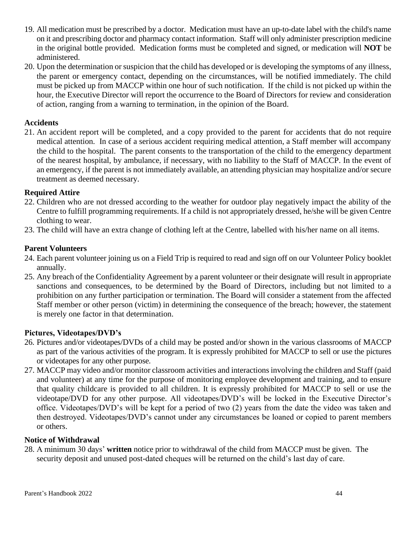- 19. All medication must be prescribed by a doctor. Medication must have an up-to-date label with the child's name on it and prescribing doctor and pharmacy contact information. Staff will only administer prescription medicine in the original bottle provided. Medication forms must be completed and signed, or medication will **NOT** be administered.
- 20. Upon the determination or suspicion that the child has developed or is developing the symptoms of any illness, the parent or emergency contact, depending on the circumstances, will be notified immediately. The child must be picked up from MACCP within one hour of such notification. If the child is not picked up within the hour, the Executive Director will report the occurrence to the Board of Directors for review and consideration of action, ranging from a warning to termination, in the opinion of the Board.

# **Accidents**

21. An accident report will be completed, and a copy provided to the parent for accidents that do not require medical attention. In case of a serious accident requiring medical attention, a Staff member will accompany the child to the hospital. The parent consents to the transportation of the child to the emergency department of the nearest hospital, by ambulance, if necessary, with no liability to the Staff of MACCP. In the event of an emergency, if the parent is not immediately available, an attending physician may hospitalize and/or secure treatment as deemed necessary.

# **Required Attire**

- 22. Children who are not dressed according to the weather for outdoor play negatively impact the ability of the Centre to fulfill programming requirements. If a child is not appropriately dressed, he/she will be given Centre clothing to wear.
- 23. The child will have an extra change of clothing left at the Centre, labelled with his/her name on all items.

# **Parent Volunteers**

- 24. Each parent volunteer joining us on a Field Trip is required to read and sign off on our Volunteer Policy booklet annually.
- 25. Any breach of the Confidentiality Agreement by a parent volunteer or their designate will result in appropriate sanctions and consequences, to be determined by the Board of Directors, including but not limited to a prohibition on any further participation or termination. The Board will consider a statement from the affected Staff member or other person (victim) in determining the consequence of the breach; however, the statement is merely one factor in that determination.

# **Pictures, Videotapes/DVD's**

- 26. Pictures and/or videotapes/DVDs of a child may be posted and/or shown in the various classrooms of MACCP as part of the various activities of the program. It is expressly prohibited for MACCP to sell or use the pictures or videotapes for any other purpose.
- 27. MACCP may video and/or monitor classroom activities and interactions involving the children and Staff (paid and volunteer) at any time for the purpose of monitoring employee development and training, and to ensure that quality childcare is provided to all children. It is expressly prohibited for MACCP to sell or use the videotape/DVD for any other purpose. All videotapes/DVD's will be locked in the Executive Director's office. Videotapes/DVD's will be kept for a period of two (2) years from the date the video was taken and then destroyed. Videotapes/DVD's cannot under any circumstances be loaned or copied to parent members or others.

# **Notice of Withdrawal**

28. A minimum 30 days' **written** notice prior to withdrawal of the child from MACCP must be given. The security deposit and unused post-dated cheques will be returned on the child's last day of care.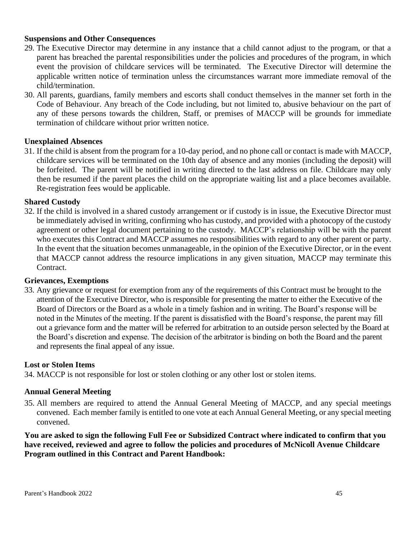#### **Suspensions and Other Consequences**

- 29. The Executive Director may determine in any instance that a child cannot adjust to the program, or that a parent has breached the parental responsibilities under the policies and procedures of the program, in which event the provision of childcare services will be terminated. The Executive Director will determine the applicable written notice of termination unless the circumstances warrant more immediate removal of the child/termination.
- 30. All parents, guardians, family members and escorts shall conduct themselves in the manner set forth in the Code of Behaviour. Any breach of the Code including, but not limited to, abusive behaviour on the part of any of these persons towards the children, Staff, or premises of MACCP will be grounds for immediate termination of childcare without prior written notice.

#### **Unexplained Absences**

31. If the child is absent from the program for a 10-day period, and no phone call or contact is made with MACCP, childcare services will be terminated on the 10th day of absence and any monies (including the deposit) will be forfeited. The parent will be notified in writing directed to the last address on file. Childcare may only then be resumed if the parent places the child on the appropriate waiting list and a place becomes available. Re-registration fees would be applicable.

#### **Shared Custody**

32. If the child is involved in a shared custody arrangement or if custody is in issue, the Executive Director must be immediately advised in writing, confirming who has custody, and provided with a photocopy of the custody agreement or other legal document pertaining to the custody. MACCP's relationship will be with the parent who executes this Contract and MACCP assumes no responsibilities with regard to any other parent or party. In the event that the situation becomes unmanageable, in the opinion of the Executive Director, or in the event that MACCP cannot address the resource implications in any given situation, MACCP may terminate this Contract.

#### **Grievances, Exemptions**

33. Any grievance or request for exemption from any of the requirements of this Contract must be brought to the attention of the Executive Director, who is responsible for presenting the matter to either the Executive of the Board of Directors or the Board as a whole in a timely fashion and in writing. The Board's response will be noted in the Minutes of the meeting. If the parent is dissatisfied with the Board's response, the parent may fill out a grievance form and the matter will be referred for arbitration to an outside person selected by the Board at the Board's discretion and expense. The decision of the arbitrator is binding on both the Board and the parent and represents the final appeal of any issue.

#### **Lost or Stolen Items**

34. MACCP is not responsible for lost or stolen clothing or any other lost or stolen items.

#### **Annual General Meeting**

35. All members are required to attend the Annual General Meeting of MACCP, and any special meetings convened. Each member family is entitled to one vote at each Annual General Meeting, or any special meeting convened.

**You are asked to sign the following Full Fee or Subsidized Contract where indicated to confirm that you have received, reviewed and agree to follow the policies and procedures of McNicoll Avenue Childcare Program outlined in this Contract and Parent Handbook:**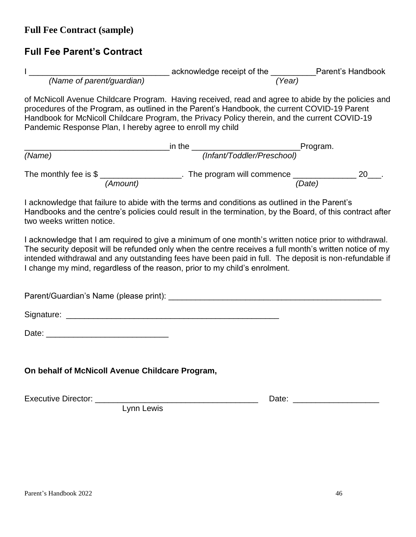<span id="page-49-0"></span>**Full Fee Contract (sample)**

# **Full Fee Parent's Contract**

|                                                                                                                                                       | acknowledge receipt of the | Parent's Handbook |
|-------------------------------------------------------------------------------------------------------------------------------------------------------|----------------------------|-------------------|
| (Name of parent/guardian)                                                                                                                             | (Year)                     |                   |
| $\overline{a}$ , and $\overline{a}$ and $\overline{a}$ and $\overline{a}$ and $\overline{a}$ and $\overline{a}$ and $\overline{a}$ and $\overline{a}$ |                            |                   |

of McNicoll Avenue Childcare Program. Having received, read and agree to abide by the policies and procedures of the Program, as outlined in the Parent's Handbook, the current COVID-19 Parent Handbook for McNicoll Childcare Program, the Privacy Policy therein, and the current COVID-19 Pandemic Response Plan, I hereby agree to enroll my child

|                          | in the   |                            | Program. |    |  |
|--------------------------|----------|----------------------------|----------|----|--|
| (Name)                   |          | (Infant/Toddler/Preschool) |          |    |  |
| The monthly fee is $\$\$ |          | The program will commence  |          | 20 |  |
|                          | (Amount) |                            | (Date)   |    |  |

I acknowledge that failure to abide with the terms and conditions as outlined in the Parent's Handbooks and the centre's policies could result in the termination, by the Board, of this contract after two weeks written notice.

I acknowledge that I am required to give a minimum of one month's written notice prior to withdrawal. The security deposit will be refunded only when the centre receives a full month's written notice of my intended withdrawal and any outstanding fees have been paid in full. The deposit is non-refundable if I change my mind, regardless of the reason, prior to my child's enrolment.

Parent/Guardian's Name (please print): **Example 2018** 

| Signature: |  |
|------------|--|
|            |  |

| Date: |  |  |  |
|-------|--|--|--|
|       |  |  |  |

**On behalf of McNicoll Avenue Childcare Program,**

Executive Director: \_\_\_\_\_\_\_\_\_\_\_\_\_\_\_\_\_\_\_\_\_\_\_\_\_\_\_\_\_\_\_\_\_\_\_\_ Date: \_\_\_\_\_\_\_\_\_\_\_\_\_\_\_\_\_\_\_

Lynn Lewis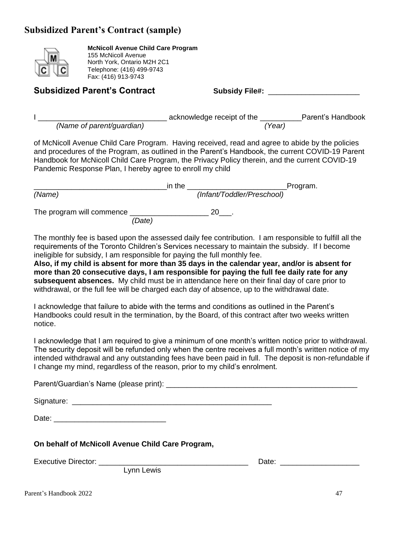# <span id="page-50-0"></span>**Subsidized Parent's Contract (sample)**



**McNicoll Avenue Child Care Program** 155 McNicoll Avenue North York, Ontario M2H 2C1 Telephone: (416) 499-9743 Fax: (416) 913-9743

Subsidized Parent's Contract **Subsidy File#:** 2015

|                           | acknowledge receipt of the | Parent's Handbook |
|---------------------------|----------------------------|-------------------|
| (Name of parent/guardian) | (Year)                     |                   |

of McNicoll Avenue Child Care Program. Having received, read and agree to abide by the policies and procedures of the Program, as outlined in the Parent's Handbook, the current COVID-19 Parent Handbook for McNicoll Child Care Program, the Privacy Policy therein, and the current COVID-19 Pandemic Response Plan, I hereby agree to enroll my child

|                           | in the |                            | Program. |
|---------------------------|--------|----------------------------|----------|
| (Name)                    |        | (Infant/Toddler/Preschool) |          |
| The program will commence |        |                            |          |
| (Date)                    |        |                            |          |

The monthly fee is based upon the assessed daily fee contribution. I am responsible to fulfill all the requirements of the Toronto Children's Services necessary to maintain the subsidy. If I become ineligible for subsidy, I am responsible for paying the full monthly fee.

**Also, if my child is absent for more than 35 days in the calendar year, and/or is absent for more than 20 consecutive days, I am responsible for paying the full fee daily rate for any subsequent absences.** My child must be in attendance here on their final day of care prior to withdrawal, or the full fee will be charged each day of absence, up to the withdrawal date.

I acknowledge that failure to abide with the terms and conditions as outlined in the Parent's Handbooks could result in the termination, by the Board, of this contract after two weeks written notice.

I acknowledge that I am required to give a minimum of one month's written notice prior to withdrawal. The security deposit will be refunded only when the centre receives a full month's written notice of my intended withdrawal and any outstanding fees have been paid in full. The deposit is non-refundable if I change my mind, regardless of the reason, prior to my child's enrolment.

Parent/Guardian's Name (please print): \_\_\_\_\_\_\_\_\_\_\_\_\_\_\_\_\_\_\_\_\_\_\_\_\_\_\_\_\_\_\_\_\_\_\_\_\_\_\_\_\_\_\_\_\_\_

Signature: \_\_\_\_\_\_\_\_\_\_\_\_\_\_\_\_\_\_\_\_\_\_\_\_\_\_\_\_\_\_\_\_\_\_\_\_\_\_\_\_\_\_\_\_\_\_\_\_

Date:  $\Box$ 

**On behalf of McNicoll Avenue Child Care Program,**

Lynn Lewis

Executive Director: \_\_\_\_\_\_\_\_\_\_\_\_\_\_\_\_\_\_\_\_\_\_\_\_\_\_\_\_\_\_\_\_\_\_\_\_ Date: \_\_\_\_\_\_\_\_\_\_\_\_\_\_\_\_\_\_\_